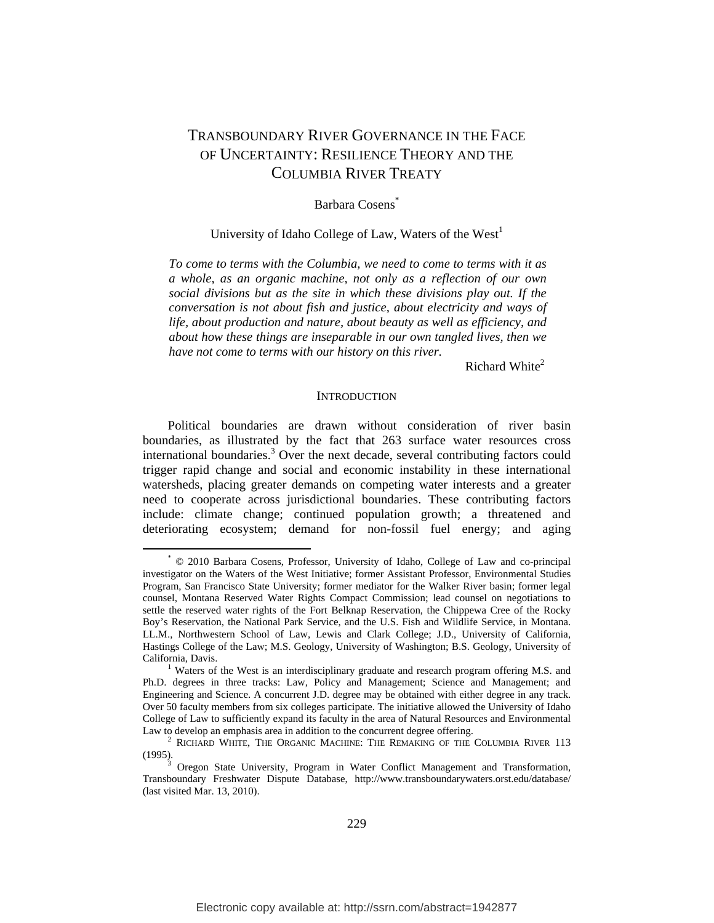# TRANSBOUNDARY RIVER GOVERNANCE IN THE FACE OF UNCERTAINTY: RESILIENCE THEORY AND THE COLUMBIA RIVER TREATY

# Barbara Cosens<sup>\*</sup>

# University of Idaho College of Law, Waters of the West<sup>1</sup>

*To come to terms with the Columbia, we need to come to terms with it as a whole, as an organic machine, not only as a reflection of our own social divisions but as the site in which these divisions play out. If the conversation is not about fish and justice, about electricity and ways of life, about production and nature, about beauty as well as efficiency, and about how these things are inseparable in our own tangled lives, then we have not come to terms with our history on this river.* 

Richard White $2$ 

#### **INTRODUCTION**

Political boundaries are drawn without consideration of river basin boundaries, as illustrated by the fact that 263 surface water resources cross international boundaries.<sup>3</sup> Over the next decade, several contributing factors could trigger rapid change and social and economic instability in these international watersheds, placing greater demands on competing water interests and a greater need to cooperate across jurisdictional boundaries. These contributing factors include: climate change; continued population growth; a threatened and deteriorating ecosystem; demand for non-fossil fuel energy; and aging

 \* © 2010 Barbara Cosens, Professor, University of Idaho, College of Law and co-principal investigator on the Waters of the West Initiative; former Assistant Professor, Environmental Studies Program, San Francisco State University; former mediator for the Walker River basin; former legal counsel, Montana Reserved Water Rights Compact Commission; lead counsel on negotiations to settle the reserved water rights of the Fort Belknap Reservation, the Chippewa Cree of the Rocky Boy's Reservation, the National Park Service, and the U.S. Fish and Wildlife Service, in Montana. LL.M., Northwestern School of Law, Lewis and Clark College; J.D., University of California, Hastings College of the Law; M.S. Geology, University of Washington; B.S. Geology, University of California, Davis. 1

<sup>&</sup>lt;sup>1</sup> Waters of the West is an interdisciplinary graduate and research program offering M.S. and Ph.D. degrees in three tracks: Law, Policy and Management; Science and Management; and Engineering and Science. A concurrent J.D. degree may be obtained with either degree in any track. Over 50 faculty members from six colleges participate. The initiative allowed the University of Idaho College of Law to sufficiently expand its faculty in the area of Natural Resources and Environmental Law to develop an emphasis area in addition to the concurrent degree offering.

<sup>&</sup>lt;sup>2</sup> RICHARD WHITE, THE ORGANIC MACHINE: THE REMAKING OF THE COLUMBIA RIVER 113 (1995).<br><sup>3</sup> Oregon State University, Program in Water Conflict Management and Transformation,

Transboundary Freshwater Dispute Database, http://www.transboundarywaters.orst.edu/database/ (last visited Mar. 13, 2010).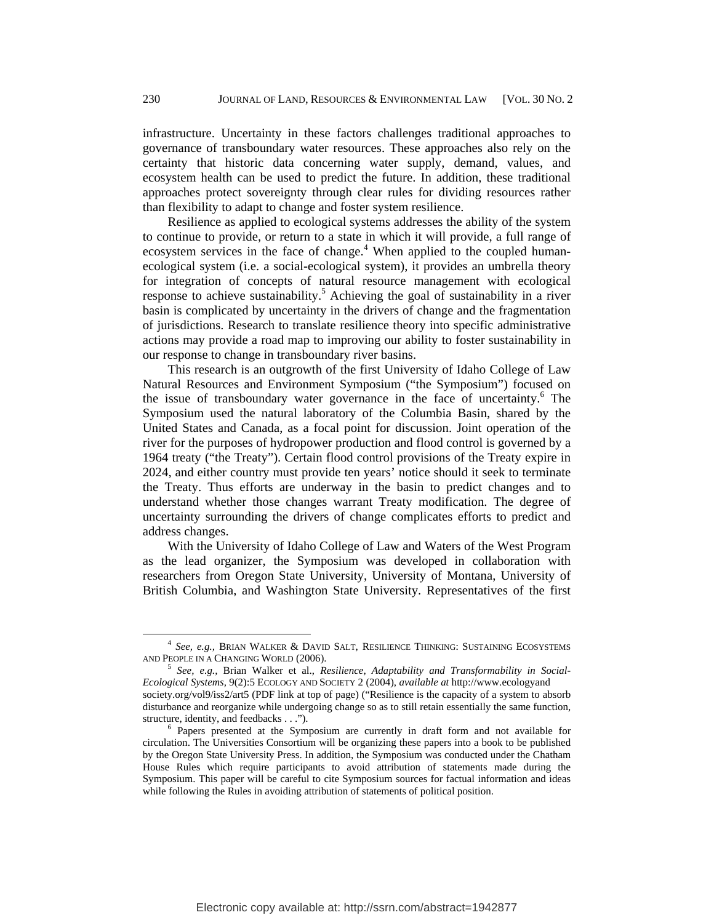infrastructure. Uncertainty in these factors challenges traditional approaches to governance of transboundary water resources. These approaches also rely on the certainty that historic data concerning water supply, demand, values, and ecosystem health can be used to predict the future. In addition, these traditional approaches protect sovereignty through clear rules for dividing resources rather than flexibility to adapt to change and foster system resilience.

Resilience as applied to ecological systems addresses the ability of the system to continue to provide, or return to a state in which it will provide, a full range of ecosystem services in the face of change.<sup>4</sup> When applied to the coupled humanecological system (i.e. a social-ecological system), it provides an umbrella theory for integration of concepts of natural resource management with ecological response to achieve sustainability.<sup>5</sup> Achieving the goal of sustainability in a river basin is complicated by uncertainty in the drivers of change and the fragmentation of jurisdictions. Research to translate resilience theory into specific administrative actions may provide a road map to improving our ability to foster sustainability in our response to change in transboundary river basins.

This research is an outgrowth of the first University of Idaho College of Law Natural Resources and Environment Symposium ("the Symposium") focused on the issue of transboundary water governance in the face of uncertainty.<sup>6</sup> The Symposium used the natural laboratory of the Columbia Basin, shared by the United States and Canada, as a focal point for discussion. Joint operation of the river for the purposes of hydropower production and flood control is governed by a 1964 treaty ("the Treaty"). Certain flood control provisions of the Treaty expire in 2024, and either country must provide ten years' notice should it seek to terminate the Treaty. Thus efforts are underway in the basin to predict changes and to understand whether those changes warrant Treaty modification. The degree of uncertainty surrounding the drivers of change complicates efforts to predict and address changes.

With the University of Idaho College of Law and Waters of the West Program as the lead organizer, the Symposium was developed in collaboration with researchers from Oregon State University, University of Montana, University of British Columbia, and Washington State University. Representatives of the first

 <sup>4</sup> *See, e.g.,* BRIAN WALKER & DAVID SALT, RESILIENCE THINKING: SUSTAINING ECOSYSTEMS AND PEOPLE IN A CHANGING WORLD (2006). 5 *See, e.g.,* Brian Walker et al., *Resilience, Adaptability and Transformability in Social-*

*Ecological Systems,* 9(2):5 ECOLOGY AND SOCIETY 2 (2004), *available at* http://www.ecologyand society.org/vol9/iss2/art5 (PDF link at top of page) ("Resilience is the capacity of a system to absorb disturbance and reorganize while undergoing change so as to still retain essentially the same function, structure, identity, and feedbacks . . .").

 $6$  Papers presented at the Symposium are currently in draft form and not available for circulation. The Universities Consortium will be organizing these papers into a book to be published by the Oregon State University Press. In addition, the Symposium was conducted under the Chatham House Rules which require participants to avoid attribution of statements made during the Symposium. This paper will be careful to cite Symposium sources for factual information and ideas while following the Rules in avoiding attribution of statements of political position.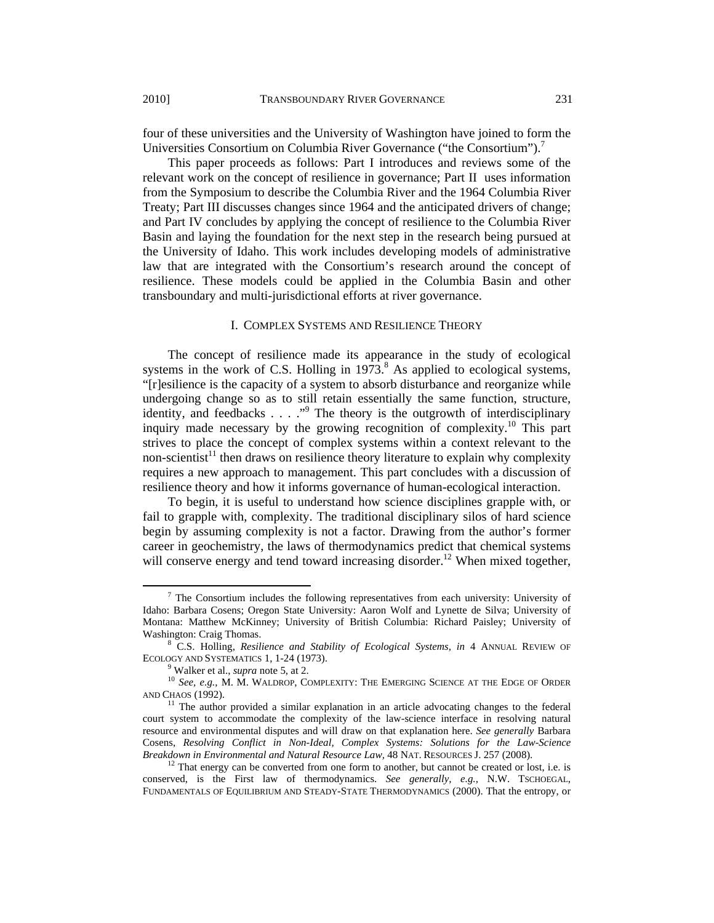four of these universities and the University of Washington have joined to form the Universities Consortium on Columbia River Governance ("the Consortium").<sup>7</sup>

This paper proceeds as follows: Part I introduces and reviews some of the relevant work on the concept of resilience in governance; Part II uses information from the Symposium to describe the Columbia River and the 1964 Columbia River Treaty; Part III discusses changes since 1964 and the anticipated drivers of change; and Part IV concludes by applying the concept of resilience to the Columbia River Basin and laying the foundation for the next step in the research being pursued at the University of Idaho. This work includes developing models of administrative law that are integrated with the Consortium's research around the concept of resilience. These models could be applied in the Columbia Basin and other transboundary and multi-jurisdictional efforts at river governance.

### I. COMPLEX SYSTEMS AND RESILIENCE THEORY

The concept of resilience made its appearance in the study of ecological systems in the work of C.S. Holling in  $1973$ .<sup>8</sup> As applied to ecological systems, "[r]esilience is the capacity of a system to absorb disturbance and reorganize while undergoing change so as to still retain essentially the same function, structure, identity, and feedbacks . . . ."<sup>9</sup> The theory is the outgrowth of interdisciplinary inquiry made necessary by the growing recognition of complexity.<sup>10</sup> This part strives to place the concept of complex systems within a context relevant to the non-scientist<sup>11</sup> then draws on resilience theory literature to explain why complexity requires a new approach to management. This part concludes with a discussion of resilience theory and how it informs governance of human-ecological interaction.

To begin, it is useful to understand how science disciplines grapple with, or fail to grapple with, complexity. The traditional disciplinary silos of hard science begin by assuming complexity is not a factor. Drawing from the author's former career in geochemistry, the laws of thermodynamics predict that chemical systems will conserve energy and tend toward increasing disorder.<sup>12</sup> When mixed together,

 <sup>7</sup> The Consortium includes the following representatives from each university: University of Idaho: Barbara Cosens; Oregon State University: Aaron Wolf and Lynette de Silva; University of Montana: Matthew McKinney; University of British Columbia: Richard Paisley; University of Washington: Craig Thomas.

C.S. Holling, *Resilience and Stability of Ecological Systems, in* 4 ANNUAL REVIEW OF ECOLOGY AND SYSTEMATICS 1, 1-24 (1973).<br><sup>9</sup> Walker et al., *supra* note 5, at 2.

<sup>&</sup>lt;sup>10</sup> See, e.g., M. M. WALDROP, COMPLEXITY: THE EMERGING SCIENCE AT THE EDGE OF ORDER AND CHAOS (1992).

 $11$  The author provided a similar explanation in an article advocating changes to the federal court system to accommodate the complexity of the law-science interface in resolving natural resource and environmental disputes and will draw on that explanation here. *See generally* Barbara Cosens, *Resolving Conflict in Non-Ideal, Complex Systems: Solutions for the Law-Science Breakdown in Environmental and Natural Resource Law,* 48 NAT. RESOURCES J. 257 (2008). <sup>12</sup> That energy can be converted from one form to another, but cannot be created or lost, i.e. is

conserved, is the First law of thermodynamics. *See generally, e.g.,* N.W. TSCHOEGAL, FUNDAMENTALS OF EQUILIBRIUM AND STEADY-STATE THERMODYNAMICS (2000). That the entropy, or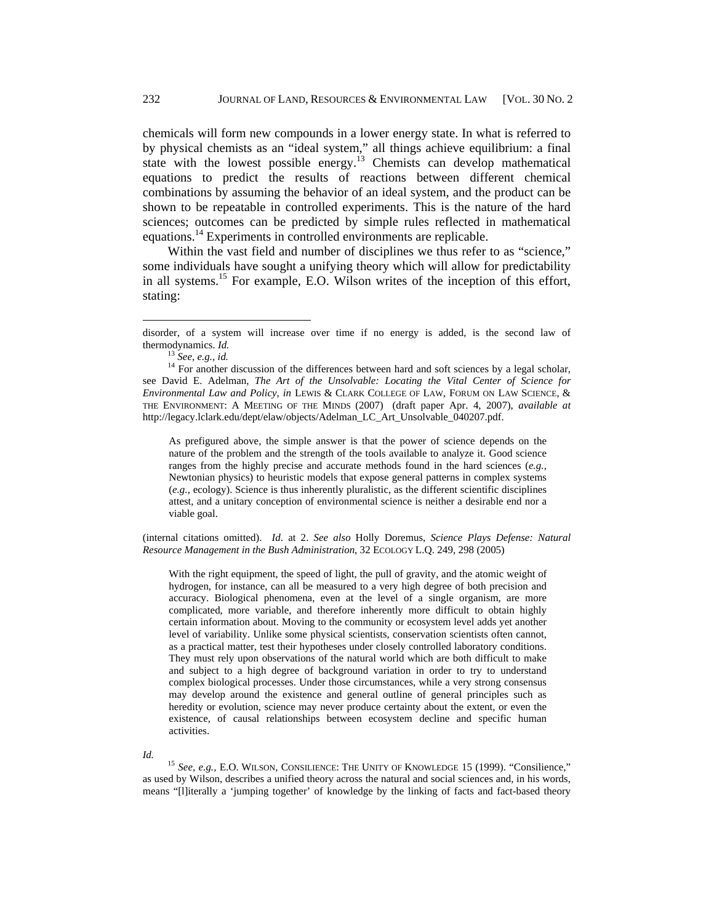chemicals will form new compounds in a lower energy state. In what is referred to by physical chemists as an "ideal system," all things achieve equilibrium: a final state with the lowest possible energy.<sup>13</sup> Chemists can develop mathematical equations to predict the results of reactions between different chemical combinations by assuming the behavior of an ideal system, and the product can be shown to be repeatable in controlled experiments. This is the nature of the hard sciences; outcomes can be predicted by simple rules reflected in mathematical equations.14 Experiments in controlled environments are replicable.

Within the vast field and number of disciplines we thus refer to as "science," some individuals have sought a unifying theory which will allow for predictability in all systems.<sup>15</sup> For example, E.O. Wilson writes of the inception of this effort, stating:

As prefigured above, the simple answer is that the power of science depends on the nature of the problem and the strength of the tools available to analyze it. Good science ranges from the highly precise and accurate methods found in the hard sciences (*e.g.,* Newtonian physics) to heuristic models that expose general patterns in complex systems (*e.g.,* ecology). Science is thus inherently pluralistic, as the different scientific disciplines attest, and a unitary conception of environmental science is neither a desirable end nor a viable goal.

(internal citations omitted). *Id*. at 2. *See also* Holly Doremus, *Science Plays Defense: Natural Resource Management in the Bush Administration*, 32 ECOLOGY L.Q. 249, 298 (2005)

With the right equipment, the speed of light, the pull of gravity, and the atomic weight of hydrogen, for instance, can all be measured to a very high degree of both precision and accuracy. Biological phenomena, even at the level of a single organism, are more complicated, more variable, and therefore inherently more difficult to obtain highly certain information about. Moving to the community or ecosystem level adds yet another level of variability. Unlike some physical scientists, conservation scientists often cannot, as a practical matter, test their hypotheses under closely controlled laboratory conditions. They must rely upon observations of the natural world which are both difficult to make and subject to a high degree of background variation in order to try to understand complex biological processes. Under those circumstances, while a very strong consensus may develop around the existence and general outline of general principles such as heredity or evolution, science may never produce certainty about the extent, or even the existence, of causal relationships between ecosystem decline and specific human activities.

*Id.* <sup>15</sup> See, e.g., E.O. WILSON, CONSILIENCE: THE UNITY OF KNOWLEDGE 15 (1999). "Consilience," as used by Wilson, describes a unified theory across the natural and social sciences and, in his words, means "[l]iterally a 'jumping together' of knowledge by the linking of facts and fact-based theory

disorder, of a system will increase over time if no energy is added, is the second law of thermodynamics. *Id.*<br><sup>13</sup> *See, e.g., id.*<br><sup>14</sup> For another discussion of the differences between hard and soft sciences by a legal scholar,

see David E. Adelman, *The Art of the Unsolvable: Locating the Vital Center of Science for Environmental Law and Policy*, *in* LEWIS & CLARK COLLEGE OF LAW, FORUM ON LAW SCIENCE, & THE ENVIRONMENT: A MEETING OF THE MINDS (2007) (draft paper Apr. 4, 2007), *available at*  http://legacy.lclark.edu/dept/elaw/objects/Adelman\_LC\_Art\_Unsolvable\_040207.pdf.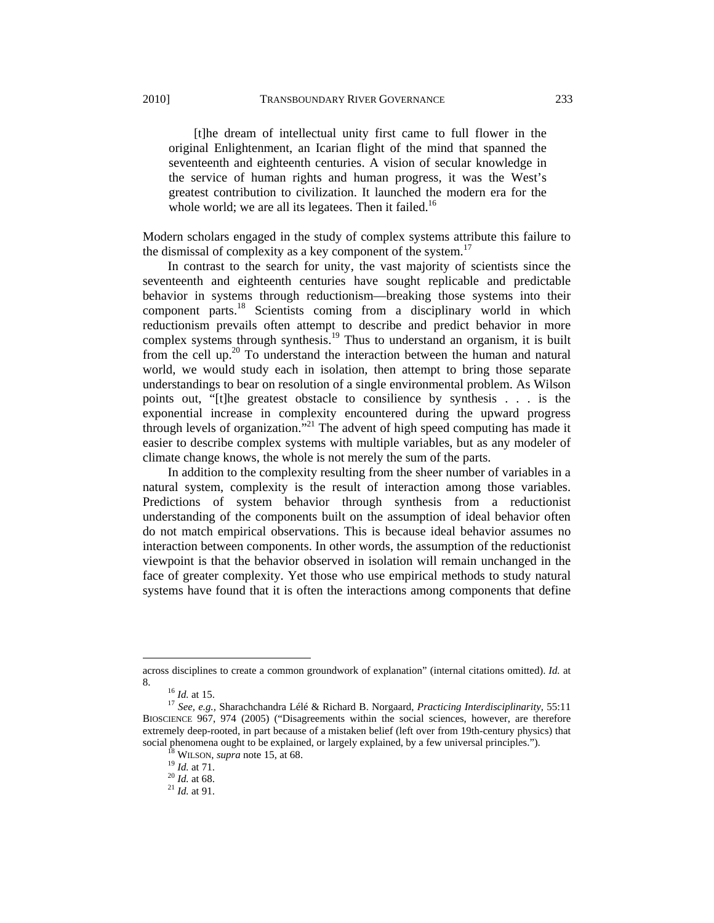[t]he dream of intellectual unity first came to full flower in the original Enlightenment, an Icarian flight of the mind that spanned the seventeenth and eighteenth centuries. A vision of secular knowledge in the service of human rights and human progress, it was the West's greatest contribution to civilization. It launched the modern era for the whole world; we are all its legatees. Then it failed.<sup>16</sup>

Modern scholars engaged in the study of complex systems attribute this failure to the dismissal of complexity as a key component of the system.<sup>17</sup>

In contrast to the search for unity, the vast majority of scientists since the seventeenth and eighteenth centuries have sought replicable and predictable behavior in systems through reductionism—breaking those systems into their component parts.18 Scientists coming from a disciplinary world in which reductionism prevails often attempt to describe and predict behavior in more complex systems through synthesis.<sup>19</sup> Thus to understand an organism, it is built from the cell up.<sup>20</sup> To understand the interaction between the human and natural world, we would study each in isolation, then attempt to bring those separate understandings to bear on resolution of a single environmental problem. As Wilson points out, "[t]he greatest obstacle to consilience by synthesis . . . is the exponential increase in complexity encountered during the upward progress through levels of organization.<sup>"21</sup> The advent of high speed computing has made it easier to describe complex systems with multiple variables, but as any modeler of climate change knows, the whole is not merely the sum of the parts.

In addition to the complexity resulting from the sheer number of variables in a natural system, complexity is the result of interaction among those variables. Predictions of system behavior through synthesis from a reductionist understanding of the components built on the assumption of ideal behavior often do not match empirical observations. This is because ideal behavior assumes no interaction between components. In other words, the assumption of the reductionist viewpoint is that the behavior observed in isolation will remain unchanged in the face of greater complexity. Yet those who use empirical methods to study natural systems have found that it is often the interactions among components that define

across disciplines to create a common groundwork of explanation" (internal citations omitted). *Id.* at

<sup>8. 16</sup> *Id.* at 15. 17 *See, e.g.,* Sharachchandra Lélé & Richard B. Norgaard, *Practicing Interdisciplinarity,* 55:11 BIOSCIENCE 967, 974 (2005) ("Disagreements within the social sciences, however, are therefore extremely deep-rooted, in part because of a mistaken belief (left over from 19th-century physics) that social phenomena ought to be explained, or largely explained, by a few universal principles."). <sup>18</sup> WILSON, *supra* note 15, at 68. <sup>19</sup> *Id.* at 68. <sup>21</sup> *Id.* at 68. <sup>21</sup> *Id.* at 91.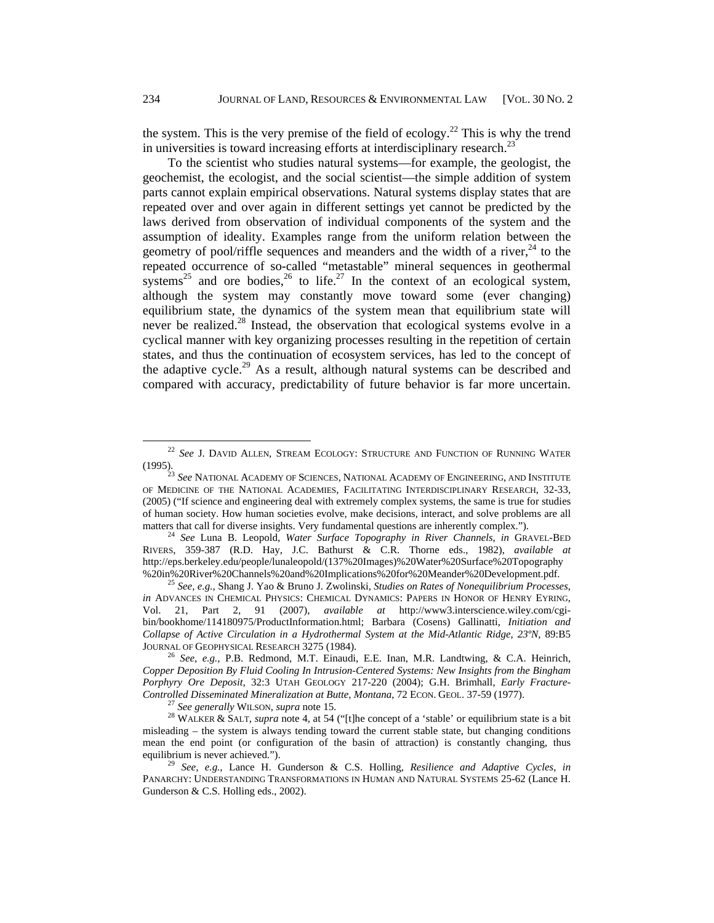the system. This is the very premise of the field of ecology.<sup>22</sup> This is why the trend in universities is toward increasing efforts at interdisciplinary research.<sup>23</sup>

To the scientist who studies natural systems—for example, the geologist, the geochemist, the ecologist, and the social scientist—the simple addition of system parts cannot explain empirical observations. Natural systems display states that are repeated over and over again in different settings yet cannot be predicted by the laws derived from observation of individual components of the system and the assumption of ideality. Examples range from the uniform relation between the geometry of pool/riffle sequences and meanders and the width of a river,  $24$  to the repeated occurrence of so-called "metastable" mineral sequences in geothermal systems<sup>25</sup> and ore bodies,<sup>26</sup> to life.<sup>27</sup> In the context of an ecological system, although the system may constantly move toward some (ever changing) equilibrium state, the dynamics of the system mean that equilibrium state will never be realized.<sup>28</sup> Instead, the observation that ecological systems evolve in a cyclical manner with key organizing processes resulting in the repetition of certain states, and thus the continuation of ecosystem services, has led to the concept of the adaptive cycle.<sup>29</sup> As a result, although natural systems can be described and compared with accuracy, predictability of future behavior is far more uncertain.

 <sup>22</sup> *See* J. DAVID ALLEN, STREAM ECOLOGY: STRUCTURE AND FUNCTION OF RUNNING WATER (1995). 23 *See* NATIONAL ACADEMY OF SCIENCES, NATIONAL ACADEMY OF ENGINEERING, AND INSTITUTE

OF MEDICINE OF THE NATIONAL ACADEMIES, FACILITATING INTERDISCIPLINARY RESEARCH, 32-33, (2005) ("If science and engineering deal with extremely complex systems, the same is true for studies of human society. How human societies evolve, make decisions, interact, and solve problems are all matters that call for diverse insights. Very fundamental questions are inherently complex.").

<sup>&</sup>lt;sup>24</sup> See Luna B. Leopold, Water Surface Topography in River Channels, in GRAVEL-BED RIVERS, 359-387 (R.D. Hay, J.C. Bathurst & C.R. Thorne eds., 1982), *available at*  http://eps.berkeley.edu/people/lunaleopold/(137%20Images)%20Water%20Surface%20Topography

<sup>&</sup>lt;sup>25</sup> See, e.g., Shang J. Yao & Bruno J. Zwolinski, *Studies on Rates of Nonequilibrium Processes*, *in* ADVANCES IN CHEMICAL PHYSICS: CHEMICAL DYNAMICS: PAPERS IN HONOR OF HENRY EYRING, Vol. 21, Part 2, 91 (2007), *available at* http://www3.interscience.wiley.com/cgibin/bookhome/114180975/ProductInformation.html; Barbara (Cosens) Gallinatti, *Initiation and Collapse of Active Circulation in a Hydrothermal System at the Mid-Atlantic Ridge, 23ºN,* 89:B5

<sup>&</sup>lt;sup>26</sup> See, e.g., P.B. Redmond, M.T. Einaudi, E.E. Inan, M.R. Landtwing, & C.A. Heinrich, *Copper Deposition By Fluid Cooling In Intrusion-Centered Systems: New Insights from the Bingham Porphyry Ore Deposit,* 32:3 UTAH GEOLOGY 217-220 (2004); G.H. Brimhall, *Early Fracture-*Controlled Disseminated Mineralization at Butte, Montana, 72 ECON. GEOL. 37-59 (1977).<br><sup>27</sup> See generally WILSON, supra note 15.<br><sup>28</sup> WALKER & SALT, supra note 4, at 54 ("[t]he concept of a 'stable' or equilibrium state i

misleading – the system is always tending toward the current stable state, but changing conditions mean the end point (or configuration of the basin of attraction) is constantly changing, thus equilibrium is never achieved."). 29 *See, e.g.*, Lance H. Gunderson & C.S. Holling, *Resilience and Adaptive Cycles*, *in*

PANARCHY: UNDERSTANDING TRANSFORMATIONS IN HUMAN AND NATURAL SYSTEMS 25-62 (Lance H. Gunderson & C.S. Holling eds., 2002).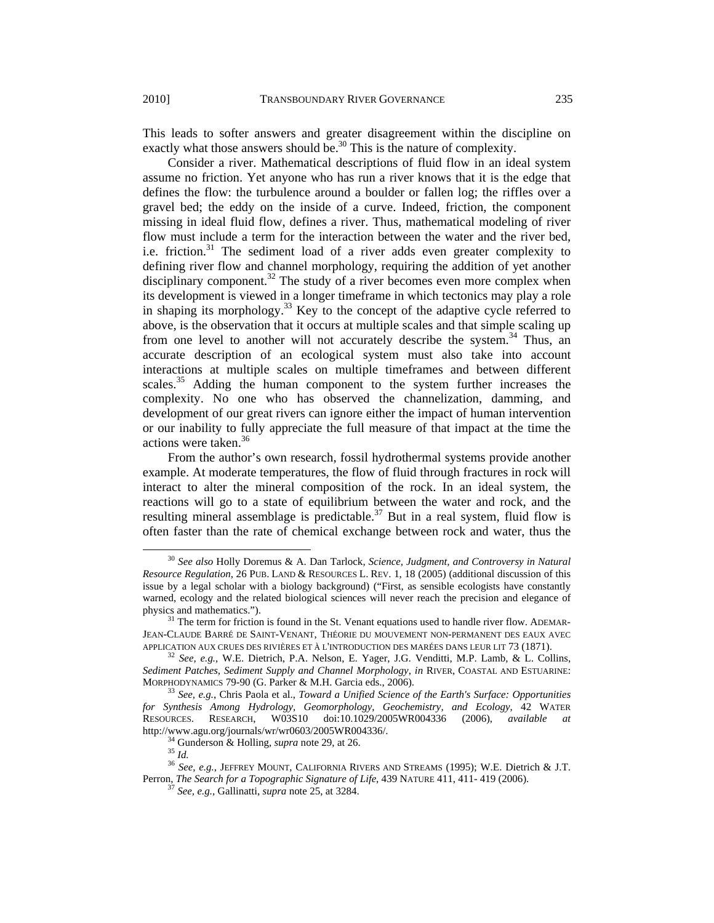exactly what those answers should be.<sup>30</sup> This is the nature of complexity. Consider a river. Mathematical descriptions of fluid flow in an ideal system assume no friction. Yet anyone who has run a river knows that it is the edge that defines the flow: the turbulence around a boulder or fallen log; the riffles over a gravel bed; the eddy on the inside of a curve. Indeed, friction, the component missing in ideal fluid flow, defines a river. Thus, mathematical modeling of river flow must include a term for the interaction between the water and the river bed, i.e. friction.<sup>31</sup> The sediment load of a river adds even greater complexity to defining river flow and channel morphology, requiring the addition of yet another disciplinary component.<sup>32</sup> The study of a river becomes even more complex when its development is viewed in a longer timeframe in which tectonics may play a role in shaping its morphology.<sup>33</sup> Key to the concept of the adaptive cycle referred to above, is the observation that it occurs at multiple scales and that simple scaling up from one level to another will not accurately describe the system.<sup>34</sup> Thus, an accurate description of an ecological system must also take into account interactions at multiple scales on multiple timeframes and between different scales.<sup>35</sup> Adding the human component to the system further increases the complexity. No one who has observed the channelization, damming, and development of our great rivers can ignore either the impact of human intervention or our inability to fully appreciate the full measure of that impact at the time the actions were taken.<sup>36</sup>

From the author's own research, fossil hydrothermal systems provide another example. At moderate temperatures, the flow of fluid through fractures in rock will interact to alter the mineral composition of the rock. In an ideal system, the reactions will go to a state of equilibrium between the water and rock, and the resulting mineral assemblage is predictable.<sup>37</sup> But in a real system, fluid flow is often faster than the rate of chemical exchange between rock and water, thus the

 <sup>30</sup> *See also* Holly Doremus & A. Dan Tarlock, *Science, Judgment, and Controversy in Natural Resource Regulation*, 26 PUB. LAND & RESOURCES L. REV. 1, 18 (2005) (additional discussion of this issue by a legal scholar with a biology background) ("First, as sensible ecologists have constantly warned, ecology and the related biological sciences will never reach the precision and elegance of physics and mathematics.").

 $31$  The term for friction is found in the St. Venant equations used to handle river flow. ADEMAR-JEAN-CLAUDE BARRÉ DE SAINT-VENANT, THÉORIE DU MOUVEMENT NON-PERMANENT DES EAUX AVEC<br>APPLICATION AUX CRUES DES RIVIÈRES ET À L'INTRODUCTION DES MARÉES DANS LEUR LIT 73 (1871).

<sup>&</sup>lt;sup>32</sup> See, e.g., W.E. Dietrich, P.A. Nelson, E. Yager, J.G. Venditti, M.P. Lamb, & L. Collins, *Sediment Patches, Sediment Supply and Channel Morphology*, *in* RIVER, COASTAL AND ESTUARINE:

<sup>&</sup>lt;sup>33</sup> See, e.g., Chris Paola et al., *Toward a Unified Science of the Earth's Surface: Opportunities for Synthesis Among Hydrology, Geomorphology, Geochemistry, and Ecology*, 42 WATER RESOURCES. RESEARCH, W03S10 doi:10.1029/2005WR004336 (2006), *available at* 

<sup>&</sup>lt;sup>34</sup> Gunderson & Holling, *supra* note 29, at 26. <sup>35</sup> *Id.* <sup>36</sup> *See, e.g., JEFFREY MOUNT, CALIFORNIA RIVERS AND STREAMS (1995); W.E. Dietrich & J.T.* Perron, *The Search for a Topographic Signature of Life*, 439 NATURE 411, 411- 419 (2006). <sup>37</sup> *See, e.g.,* Gallinatti, *supra* note 25, at 3284.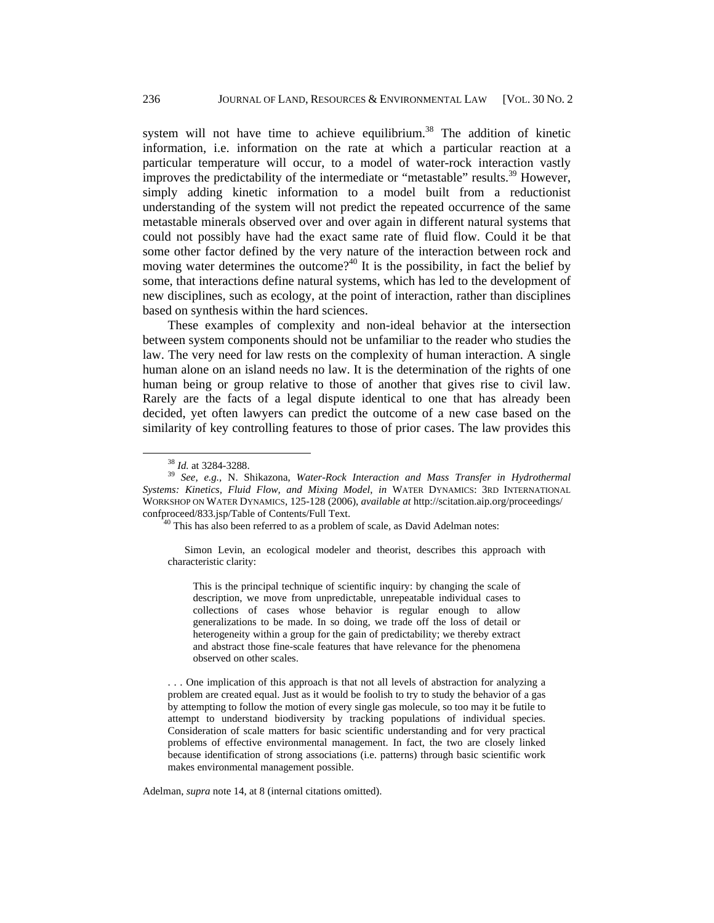system will not have time to achieve equilibrium.<sup>38</sup> The addition of kinetic information, i.e. information on the rate at which a particular reaction at a particular temperature will occur, to a model of water-rock interaction vastly improves the predictability of the intermediate or "metastable" results.<sup>39</sup> However, simply adding kinetic information to a model built from a reductionist understanding of the system will not predict the repeated occurrence of the same metastable minerals observed over and over again in different natural systems that could not possibly have had the exact same rate of fluid flow. Could it be that some other factor defined by the very nature of the interaction between rock and moving water determines the outcome?<sup>40</sup> It is the possibility, in fact the belief by some, that interactions define natural systems, which has led to the development of new disciplines, such as ecology, at the point of interaction, rather than disciplines based on synthesis within the hard sciences.

These examples of complexity and non-ideal behavior at the intersection between system components should not be unfamiliar to the reader who studies the law. The very need for law rests on the complexity of human interaction. A single human alone on an island needs no law. It is the determination of the rights of one human being or group relative to those of another that gives rise to civil law. Rarely are the facts of a legal dispute identical to one that has already been decided, yet often lawyers can predict the outcome of a new case based on the similarity of key controlling features to those of prior cases. The law provides this

Simon Levin, an ecological modeler and theorist, describes this approach with characteristic clarity:

This is the principal technique of scientific inquiry: by changing the scale of description, we move from unpredictable, unrepeatable individual cases to collections of cases whose behavior is regular enough to allow generalizations to be made. In so doing, we trade off the loss of detail or heterogeneity within a group for the gain of predictability; we thereby extract and abstract those fine-scale features that have relevance for the phenomena observed on other scales.

. . . One implication of this approach is that not all levels of abstraction for analyzing a problem are created equal. Just as it would be foolish to try to study the behavior of a gas by attempting to follow the motion of every single gas molecule, so too may it be futile to attempt to understand biodiversity by tracking populations of individual species. Consideration of scale matters for basic scientific understanding and for very practical problems of effective environmental management. In fact, the two are closely linked because identification of strong associations (i.e. patterns) through basic scientific work makes environmental management possible.

Adelman, *supra* note 14, at 8 (internal citations omitted).

 <sup>38</sup> *Id.* at 3284-3288. 39 *See, e.g.,* N. Shikazona, *Water-Rock Interaction and Mass Transfer in Hydrothermal Systems: Kinetics, Fluid Flow, and Mixing Model*, *in* WATER DYNAMICS: 3RD INTERNATIONAL WORKSHOP ON WATER DYNAMICS, 125-128 (2006), *available at* http://scitation.aip.org/proceedings/ confproceed/833.jsp/Table of Contents/Full Text. 40 This has also been referred to as a problem of scale, as David Adelman notes: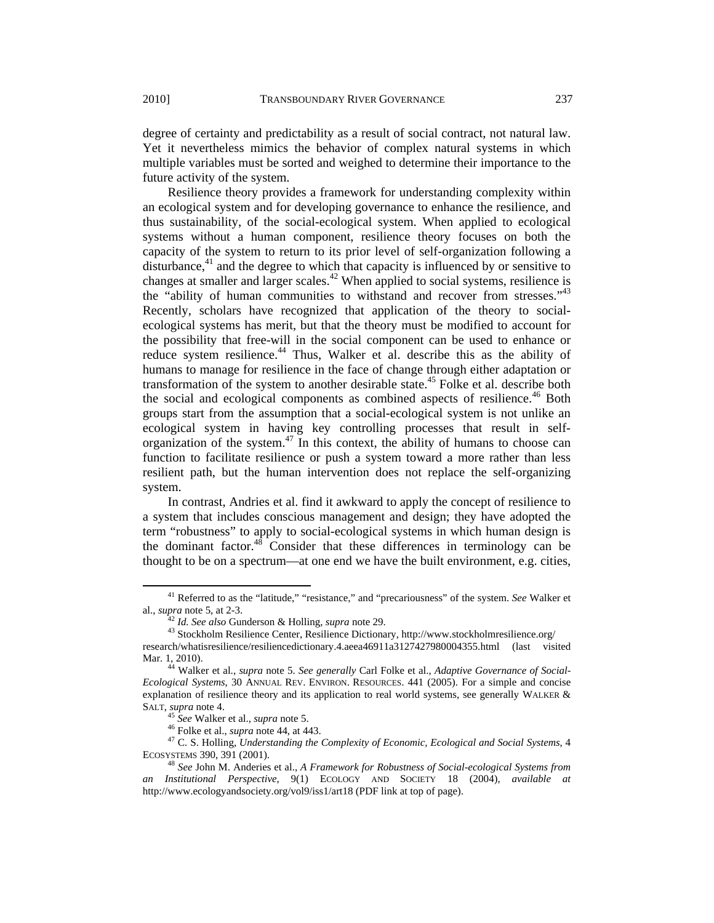degree of certainty and predictability as a result of social contract, not natural law. Yet it nevertheless mimics the behavior of complex natural systems in which multiple variables must be sorted and weighed to determine their importance to the future activity of the system.

Resilience theory provides a framework for understanding complexity within an ecological system and for developing governance to enhance the resilience, and thus sustainability, of the social-ecological system. When applied to ecological systems without a human component, resilience theory focuses on both the capacity of the system to return to its prior level of self-organization following a disturbance, $41$  and the degree to which that capacity is influenced by or sensitive to changes at smaller and larger scales.<sup>42</sup> When applied to social systems, resilience is the "ability of human communities to withstand and recover from stresses."<sup>43</sup> Recently, scholars have recognized that application of the theory to socialecological systems has merit, but that the theory must be modified to account for the possibility that free-will in the social component can be used to enhance or reduce system resilience.<sup>44</sup> Thus, Walker et al. describe this as the ability of humans to manage for resilience in the face of change through either adaptation or transformation of the system to another desirable state.<sup>45</sup> Folke et al. describe both the social and ecological components as combined aspects of resilience.<sup>46</sup> Both groups start from the assumption that a social-ecological system is not unlike an ecological system in having key controlling processes that result in selforganization of the system. $47$  In this context, the ability of humans to choose can function to facilitate resilience or push a system toward a more rather than less resilient path, but the human intervention does not replace the self-organizing system.

In contrast, Andries et al. find it awkward to apply the concept of resilience to a system that includes conscious management and design; they have adopted the term "robustness" to apply to social-ecological systems in which human design is the dominant factor. $48 \text{ Consider that these differences in terminology can be}$ thought to be on a spectrum—at one end we have the built environment, e.g. cities,

 41 Referred to as the "latitude," "resistance," and "precariousness" of the system. *See* Walker et

<sup>&</sup>lt;sup>42</sup> *Id. See also* Gunderson & Holling, *supra* note 29. <sup>43</sup> Stockholm Resilience Center, Resilience Dictionary, http://www.stockholmresilience.org/ research/whatisresilience/resiliencedictionary.4.aeea46911a3127427980004355.html (last visited

Mar. 1, 2010). 44 Walker et al., *supra* note 5. *See generally* Carl Folke et al., *Adaptive Governance of Social-*

*Ecological Systems*, 30 ANNUAL REV. ENVIRON. RESOURCES. 441 (2005). For a simple and concise explanation of resilience theory and its application to real world systems, see generally WALKER &

SALT, *supra* note 4.<br>
<sup>45</sup> *See* Walker et al., *supra* note 5.<br>
<sup>46</sup> Folke et al., *supra* note 44, at 443.<br>
<sup>47</sup> C. S. Holling, *Understanding the Complexity of Economic, Ecological and Social Systems*, 4<br>
ECOSYSTEMS 39

<sup>&</sup>lt;sup>48</sup> See John M. Anderies et al., *A Framework for Robustness of Social-ecological Systems from an Institutional Perspective*, 9(1) ECOLOGY AND SOCIETY 18 (2004), *available at* http://www.ecologyandsociety.org/vol9/iss1/art18 (PDF link at top of page).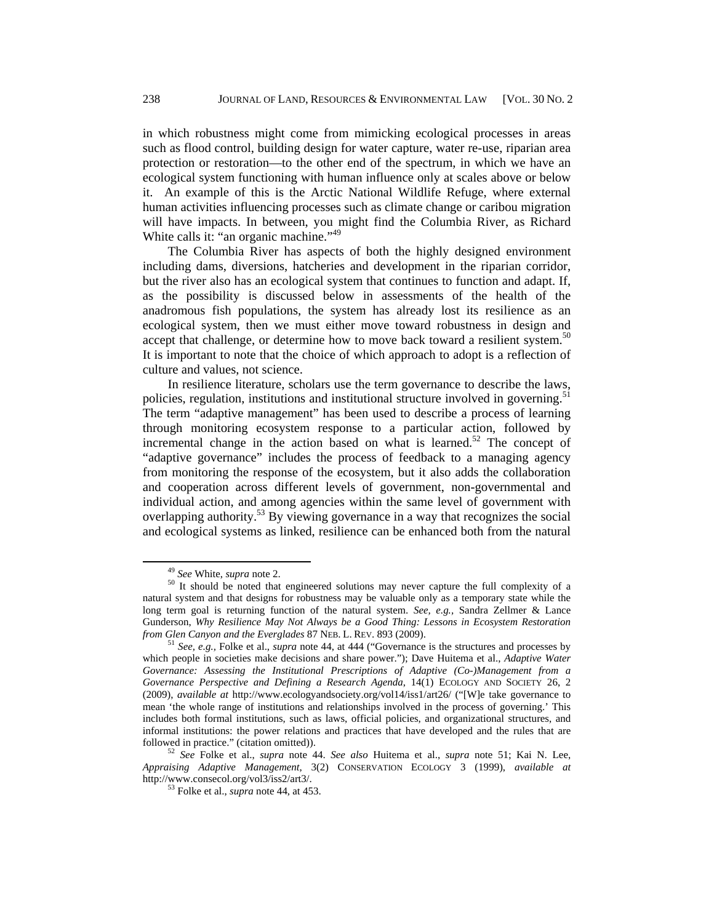in which robustness might come from mimicking ecological processes in areas such as flood control, building design for water capture, water re-use, riparian area protection or restoration—to the other end of the spectrum, in which we have an ecological system functioning with human influence only at scales above or below it. An example of this is the Arctic National Wildlife Refuge, where external human activities influencing processes such as climate change or caribou migration will have impacts. In between, you might find the Columbia River, as Richard White calls it: "an organic machine."<sup>49</sup>

The Columbia River has aspects of both the highly designed environment including dams, diversions, hatcheries and development in the riparian corridor, but the river also has an ecological system that continues to function and adapt. If, as the possibility is discussed below in assessments of the health of the anadromous fish populations, the system has already lost its resilience as an ecological system, then we must either move toward robustness in design and accept that challenge, or determine how to move back toward a resilient system.<sup>50</sup> It is important to note that the choice of which approach to adopt is a reflection of culture and values, not science.

In resilience literature, scholars use the term governance to describe the laws, policies, regulation, institutions and institutional structure involved in governing.<sup>51</sup> The term "adaptive management" has been used to describe a process of learning through monitoring ecosystem response to a particular action, followed by incremental change in the action based on what is learned.<sup>52</sup> The concept of "adaptive governance" includes the process of feedback to a managing agency from monitoring the response of the ecosystem, but it also adds the collaboration and cooperation across different levels of government, non-governmental and individual action, and among agencies within the same level of government with overlapping authority.<sup>53</sup> By viewing governance in a way that recognizes the social and ecological systems as linked, resilience can be enhanced both from the natural

<sup>&</sup>lt;sup>49</sup> *See* White, *supra* note 2.<br><sup>50</sup> It should be noted that engineered solutions may never capture the full complexity of a natural system and that designs for robustness may be valuable only as a temporary state while the long term goal is returning function of the natural system. *See, e.g.,* Sandra Zellmer & Lance Gunderson, *Why Resilience May Not Always be a Good Thing: Lessons in Ecosystem Restoration from Glen Canyon and the Everglades 87 NEB. L. REV. 893 (2009).* 

<sup>&</sup>lt;sup>51</sup> See, e.g., Folke et al., *supra* note 44, at 444 ("Governance is the structures and processes by which people in societies make decisions and share power."); Dave Huitema et al., *Adaptive Water Governance: Assessing the Institutional Prescriptions of Adaptive (Co-)Management from a Governance Perspective and Defining a Research Agenda*, 14(1) ECOLOGY AND SOCIETY 26, 2 (2009), *available at* http://www.ecologyandsociety.org/vol14/iss1/art26/ ("[W]e take governance to mean 'the whole range of institutions and relationships involved in the process of governing.' This includes both formal institutions, such as laws, official policies, and organizational structures, and informal institutions: the power relations and practices that have developed and the rules that are followed in practice." (citation omitted)).

followed in practice." (citation omitted)). 52 *See* Folke et al., *supra* note 44. *See also* Huitema et al., *supra* note 51; Kai N. Lee, *Appraising Adaptive Management*, 3(2) CONSERVATION ECOLOGY 3 (1999), *available at* http://www.consecol.org/vol3/iss2/art3/. 53 Folke et al., *supra* note 44, at 453.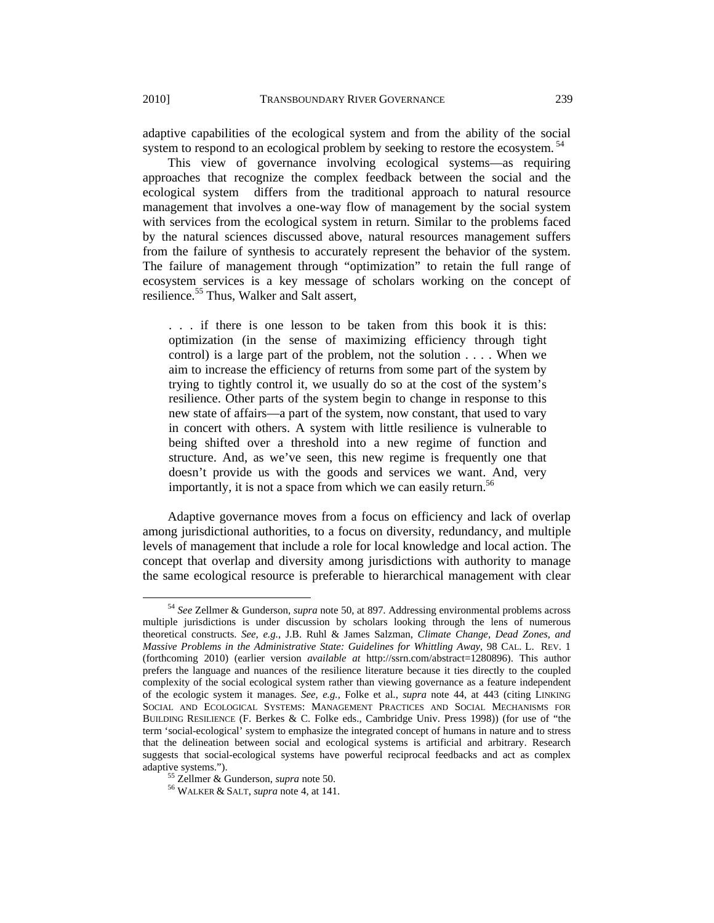adaptive capabilities of the ecological system and from the ability of the social system to respond to an ecological problem by seeking to restore the ecosystem.<sup>54</sup>

This view of governance involving ecological systems—as requiring approaches that recognize the complex feedback between the social and the ecological system differs from the traditional approach to natural resource management that involves a one-way flow of management by the social system with services from the ecological system in return. Similar to the problems faced by the natural sciences discussed above, natural resources management suffers from the failure of synthesis to accurately represent the behavior of the system. The failure of management through "optimization" to retain the full range of ecosystem services is a key message of scholars working on the concept of resilience.<sup>55</sup> Thus, Walker and Salt assert,

. . . if there is one lesson to be taken from this book it is this: optimization (in the sense of maximizing efficiency through tight control) is a large part of the problem, not the solution . . . . When we aim to increase the efficiency of returns from some part of the system by trying to tightly control it, we usually do so at the cost of the system's resilience. Other parts of the system begin to change in response to this new state of affairs—a part of the system, now constant, that used to vary in concert with others. A system with little resilience is vulnerable to being shifted over a threshold into a new regime of function and structure. And, as we've seen, this new regime is frequently one that doesn't provide us with the goods and services we want. And, very importantly, it is not a space from which we can easily return.<sup>56</sup>

Adaptive governance moves from a focus on efficiency and lack of overlap among jurisdictional authorities, to a focus on diversity, redundancy, and multiple levels of management that include a role for local knowledge and local action. The concept that overlap and diversity among jurisdictions with authority to manage the same ecological resource is preferable to hierarchical management with clear

 <sup>54</sup> *See* Zellmer & Gunderson, *supra* note 50, at 897. Addressing environmental problems across multiple jurisdictions is under discussion by scholars looking through the lens of numerous theoretical constructs. *See, e.g.*, J.B. Ruhl & James Salzman, *Climate Change, Dead Zones, and Massive Problems in the Administrative State: Guidelines for Whittling Away*, 98 CAL. L. REV. 1 (forthcoming 2010) (earlier version *available at* http://ssrn.com/abstract=1280896). This author prefers the language and nuances of the resilience literature because it ties directly to the coupled complexity of the social ecological system rather than viewing governance as a feature independent of the ecologic system it manages. *See, e.g.,* Folke et al., *supra* note 44, at 443 (citing LINKING SOCIAL AND ECOLOGICAL SYSTEMS: MANAGEMENT PRACTICES AND SOCIAL MECHANISMS FOR BUILDING RESILIENCE (F. Berkes & C. Folke eds., Cambridge Univ. Press 1998)) (for use of "the term 'social-ecological' system to emphasize the integrated concept of humans in nature and to stress that the delineation between social and ecological systems is artificial and arbitrary. Research suggests that social-ecological systems have powerful reciprocal feedbacks and act as complex adaptive systems.").

<sup>&</sup>lt;sup>55</sup> Zellmer & Gunderson, *supra* note 50.<br><sup>56</sup> WALKER & SALT, *supra* note 4, at 141.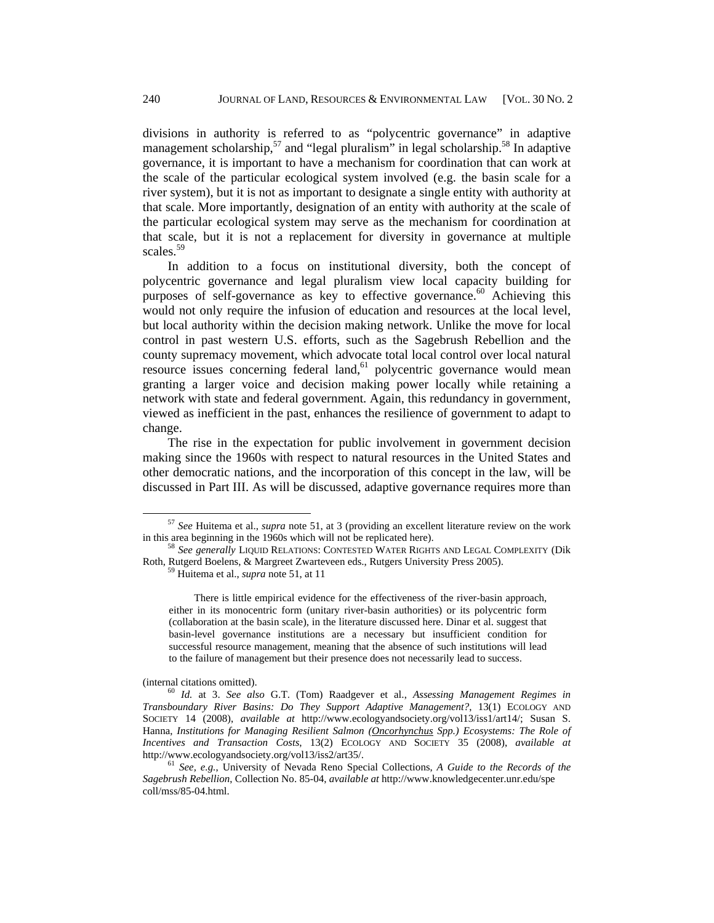divisions in authority is referred to as "polycentric governance" in adaptive management scholarship,<sup>57</sup> and "legal pluralism" in legal scholarship.<sup>58</sup> In adaptive governance, it is important to have a mechanism for coordination that can work at the scale of the particular ecological system involved (e.g. the basin scale for a river system), but it is not as important to designate a single entity with authority at that scale. More importantly, designation of an entity with authority at the scale of the particular ecological system may serve as the mechanism for coordination at that scale, but it is not a replacement for diversity in governance at multiple scales.<sup>59</sup>

In addition to a focus on institutional diversity, both the concept of polycentric governance and legal pluralism view local capacity building for purposes of self-governance as key to effective governance.<sup>60</sup> Achieving this would not only require the infusion of education and resources at the local level, but local authority within the decision making network. Unlike the move for local control in past western U.S. efforts, such as the Sagebrush Rebellion and the county supremacy movement, which advocate total local control over local natural resource issues concerning federal land, $61$  polycentric governance would mean granting a larger voice and decision making power locally while retaining a network with state and federal government. Again, this redundancy in government, viewed as inefficient in the past, enhances the resilience of government to adapt to change.

The rise in the expectation for public involvement in government decision making since the 1960s with respect to natural resources in the United States and other democratic nations, and the incorporation of this concept in the law, will be discussed in Part III. As will be discussed, adaptive governance requires more than

There is little empirical evidence for the effectiveness of the river-basin approach, either in its monocentric form (unitary river-basin authorities) or its polycentric form (collaboration at the basin scale), in the literature discussed here. Dinar et al. suggest that basin-level governance institutions are a necessary but insufficient condition for successful resource management, meaning that the absence of such institutions will lead to the failure of management but their presence does not necessarily lead to success.

<sup>&</sup>lt;sup>57</sup> *See* Huitema et al., *supra* note 51, at 3 (providing an excellent literature review on the work in this area beginning in the 1960s which will not be replicated here).

<sup>&</sup>lt;sup>58</sup> See generally LIQUID RELATIONS: CONTESTED WATER RIGHTS AND LEGAL COMPLEXITY (Dik Roth, Rutgerd Boelens, & Margreet Zwarteveen eds., Rutgers University Press 2005). 59 Huitema et al., *supra* note 51, at 11

<sup>(</sup>internal citations omitted). <sup>60</sup> *Id.* at 3. *See also* G.T. (Tom) Raadgever et al., *Assessing Management Regimes in Transboundary River Basins: Do They Support Adaptive Management?*, 13(1) ECOLOGY AND SOCIETY 14 (2008), *available at* http://www.ecologyandsociety.org/vol13/iss1/art14/; Susan S. Hanna, *Institutions for Managing Resilient Salmon (Oncorhynchus Spp.) Ecosystems: The Role of Incentives and Transaction Costs*, 13(2) ECOLOGY AND SOCIETY 35 (2008), *available at*  http://www.ecologyandsociety.org/vol13/iss2/art35/. 61 *See, e.g.*, University of Nevada Reno Special Collections, *A Guide to the Records of the* 

*Sagebrush Rebellion*, Collection No. 85-04, *available at* http://www.knowledgecenter.unr.edu/spe coll/mss/85-04.html.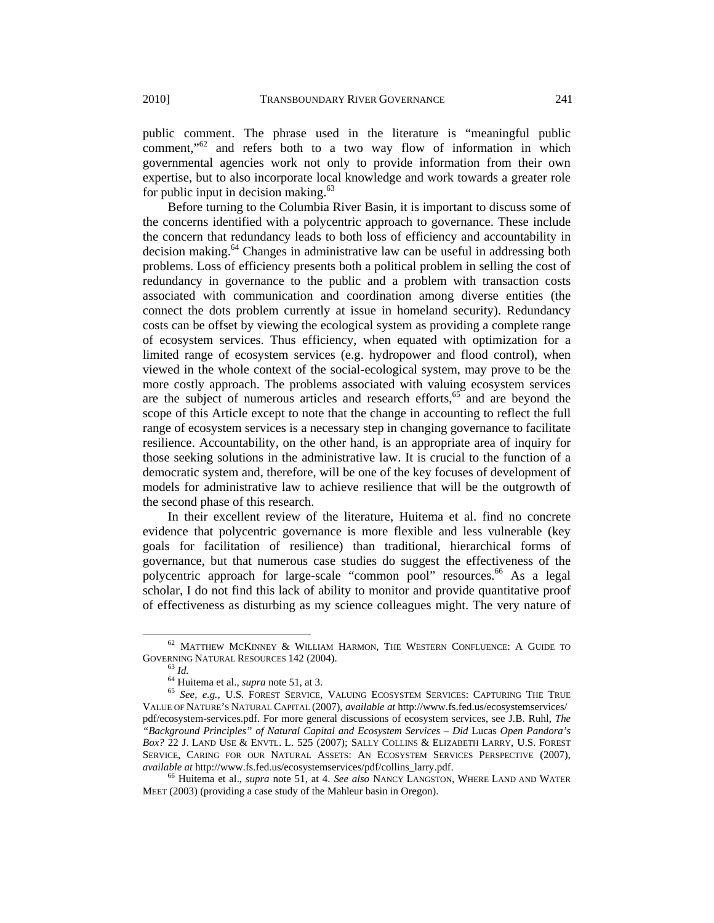public comment. The phrase used in the literature is "meaningful public comment,"<sup>62</sup> and refers both to a two way flow of information in which governmental agencies work not only to provide information from their own expertise, but to also incorporate local knowledge and work towards a greater role for public input in decision making. $63$ 

Before turning to the Columbia River Basin, it is important to discuss some of the concerns identified with a polycentric approach to governance. These include the concern that redundancy leads to both loss of efficiency and accountability in decision making.<sup>64</sup> Changes in administrative law can be useful in addressing both problems. Loss of efficiency presents both a political problem in selling the cost of redundancy in governance to the public and a problem with transaction costs associated with communication and coordination among diverse entities (the connect the dots problem currently at issue in homeland security). Redundancy costs can be offset by viewing the ecological system as providing a complete range of ecosystem services. Thus efficiency, when equated with optimization for a limited range of ecosystem services (e.g. hydropower and flood control), when viewed in the whole context of the social-ecological system, may prove to be the more costly approach. The problems associated with valuing ecosystem services are the subject of numerous articles and research efforts, $65$  and are beyond the scope of this Article except to note that the change in accounting to reflect the full range of ecosystem services is a necessary step in changing governance to facilitate resilience. Accountability, on the other hand, is an appropriate area of inquiry for those seeking solutions in the administrative law. It is crucial to the function of a democratic system and, therefore, will be one of the key focuses of development of models for administrative law to achieve resilience that will be the outgrowth of the second phase of this research.

In their excellent review of the literature, Huitema et al. find no concrete evidence that polycentric governance is more flexible and less vulnerable (key goals for facilitation of resilience) than traditional, hierarchical forms of governance, but that numerous case studies do suggest the effectiveness of the polycentric approach for large-scale "common pool" resources.<sup>66</sup> As a legal scholar, I do not find this lack of ability to monitor and provide quantitative proof of effectiveness as disturbing as my science colleagues might. The very nature of

 $62$  MATTHEW MCKINNEY & WILLIAM HARMON, THE WESTERN CONFLUENCE: A GUIDE TO GOVERNING NATURAL RESOURCES 142 (2004).<br><sup>63</sup> *Id.* 64 Huitema et al., *supra* note 51, at 3. 65 *See, e.g.*, U.S. FOREST SERVICE, VALUING ECOSYSTEM SERVICES: CAPTURING THE TRUE

VALUE OF NATURE'S NATURAL CAPITAL (2007), *available at* http://www.fs.fed.us/ecosystemservices/ pdf/ecosystem-services.pdf. For more general discussions of ecosystem services, see J.B. Ruhl, *The "Background Principles" of Natural Capital and Ecosystem Services – Did* Lucas *Open Pandora's Box?* 22 J. LAND USE & ENVTL. L. 525 (2007); SALLY COLLINS & ELIZABETH LARRY, U.S. FOREST SERVICE, CARING FOR OUR NATURAL ASSETS: AN ECOSYSTEM SERVICES PERSPECTIVE (2007), *available at* http://www.fs.fed.us/ecosystemservices/pdf/collins\_larry.pdf. 66 Huitema et al., *supra* note 51, at 4. *See also* NANCY LANGSTON, WHERE LAND AND WATER

MEET (2003) (providing a case study of the Mahleur basin in Oregon).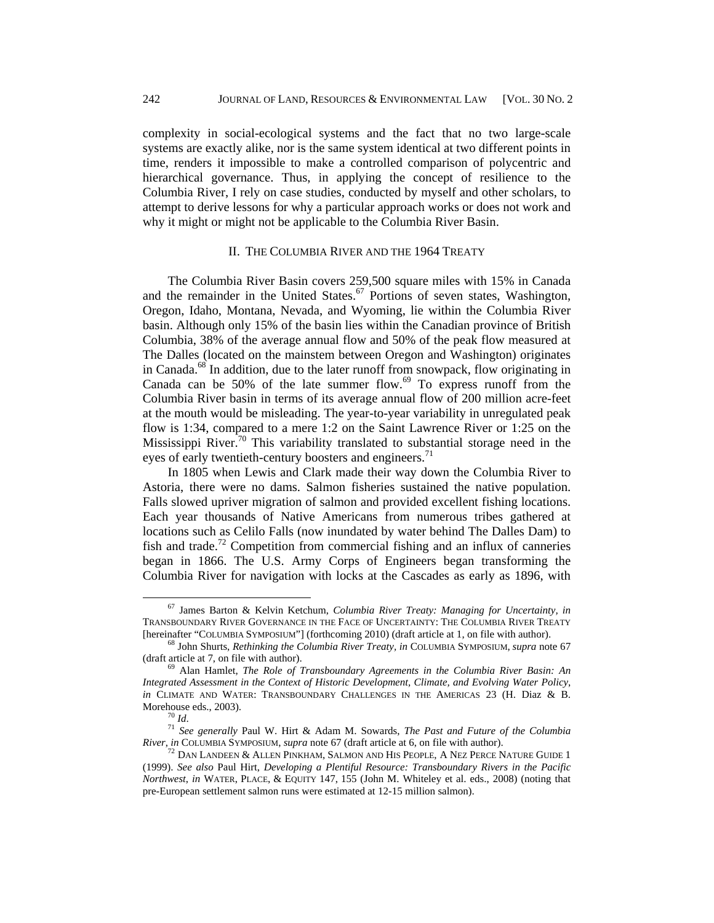complexity in social-ecological systems and the fact that no two large-scale systems are exactly alike, nor is the same system identical at two different points in time, renders it impossible to make a controlled comparison of polycentric and hierarchical governance. Thus, in applying the concept of resilience to the Columbia River, I rely on case studies, conducted by myself and other scholars, to attempt to derive lessons for why a particular approach works or does not work and why it might or might not be applicable to the Columbia River Basin.

# II. THE COLUMBIA RIVER AND THE 1964 TREATY

The Columbia River Basin covers 259,500 square miles with 15% in Canada and the remainder in the United States.<sup>67</sup> Portions of seven states, Washington, Oregon, Idaho, Montana, Nevada, and Wyoming, lie within the Columbia River basin. Although only 15% of the basin lies within the Canadian province of British Columbia, 38% of the average annual flow and 50% of the peak flow measured at The Dalles (located on the mainstem between Oregon and Washington) originates in Canada.<sup>68</sup> In addition, due to the later runoff from snowpack, flow originating in Canada can be 50% of the late summer flow.<sup>69</sup> To express runoff from the Columbia River basin in terms of its average annual flow of 200 million acre-feet at the mouth would be misleading. The year-to-year variability in unregulated peak flow is 1:34, compared to a mere 1:2 on the Saint Lawrence River or 1:25 on the Mississippi River.<sup>70</sup> This variability translated to substantial storage need in the eyes of early twentieth-century boosters and engineers.<sup>71</sup>

In 1805 when Lewis and Clark made their way down the Columbia River to Astoria, there were no dams. Salmon fisheries sustained the native population. Falls slowed upriver migration of salmon and provided excellent fishing locations. Each year thousands of Native Americans from numerous tribes gathered at locations such as Celilo Falls (now inundated by water behind The Dalles Dam) to fish and trade.<sup>72</sup> Competition from commercial fishing and an influx of canneries began in 1866. The U.S. Army Corps of Engineers began transforming the Columbia River for navigation with locks at the Cascades as early as 1896, with

 67 James Barton & Kelvin Ketchum, *Columbia River Treaty: Managing for Uncertainty, in*  TRANSBOUNDARY RIVER GOVERNANCE IN THE FACE OF UNCERTAINTY: THE COLUMBIA RIVER TREATY [hereinafter "COLUMBIA SYMPOSIUM"] (forthcoming 2010) (draft article at 1, on file with author). 68 John Shurts, *Rethinking the Columbia River Treaty, in* COLUMBIA SYMPOSIUM, *supra* note 67

<sup>(</sup>draft article at 7, on file with author). 69 Alan Hamlet, *The Role of Transboundary Agreements in the Columbia River Basin: An* 

*Integrated Assessment in the Context of Historic Development, Climate, and Evolving Water Policy*, *in* CLIMATE AND WATER: TRANSBOUNDARY CHALLENGES IN THE AMERICAS 23 (H. Diaz & B.

Morehouse eds., 2003).<br><sup>70</sup> *Id.* <sup>71</sup> *See generally* Paul W. Hirt & Adam M. Sowards, *The Past and Future of the Columbia River, in* COLUMBIA SYMPOSIUM, *supra* note 67 (draft article at 6, on file with author).

<sup>&</sup>lt;sup>72</sup> DAN LANDEEN & ALLEN PINKHAM, SALMON AND HIS PEOPLE, A NEZ PERCE NATURE GUIDE 1 (1999). *See also* Paul Hirt, *Developing a Plentiful Resource: Transboundary Rivers in the Pacific Northwest*, *in* WATER, PLACE, & EQUITY 147, 155 (John M. Whiteley et al. eds., 2008) (noting that pre-European settlement salmon runs were estimated at 12-15 million salmon).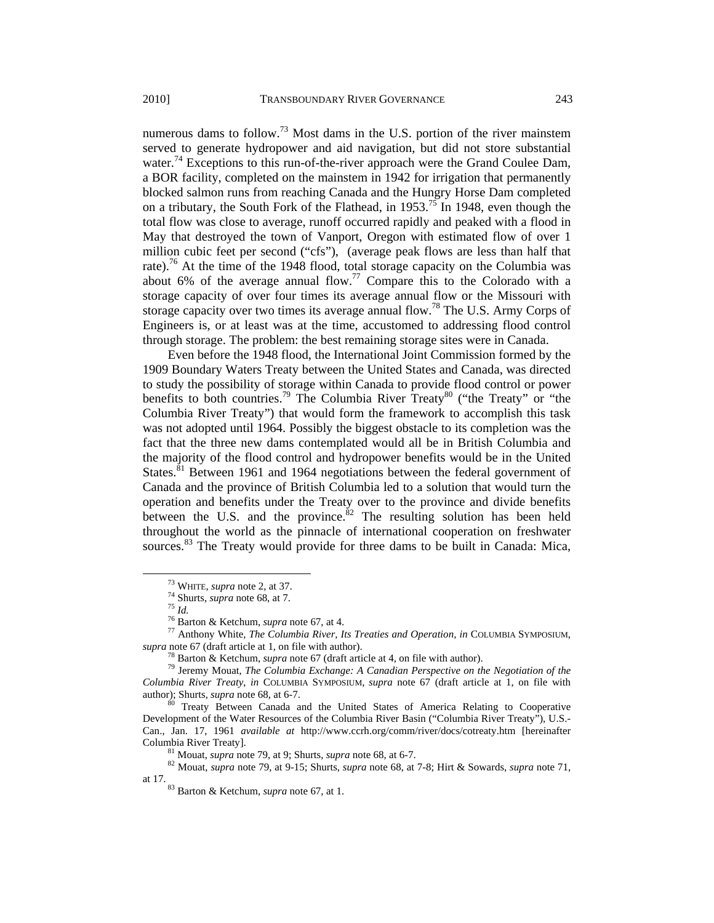numerous dams to follow.<sup>73</sup> Most dams in the U.S. portion of the river mainstem served to generate hydropower and aid navigation, but did not store substantial water.<sup>74</sup> Exceptions to this run-of-the-river approach were the Grand Coulee Dam, a BOR facility, completed on the mainstem in 1942 for irrigation that permanently blocked salmon runs from reaching Canada and the Hungry Horse Dam completed on a tributary, the South Fork of the Flathead, in  $1953$ .<sup>75</sup> In 1948, even though the total flow was close to average, runoff occurred rapidly and peaked with a flood in May that destroyed the town of Vanport, Oregon with estimated flow of over 1 million cubic feet per second ("cfs"), (average peak flows are less than half that rate).<sup>76</sup> At the time of the 1948 flood, total storage capacity on the Columbia was about 6% of the average annual flow.<sup>77</sup> Compare this to the Colorado with a storage capacity of over four times its average annual flow or the Missouri with storage capacity over two times its average annual flow.<sup>78</sup> The U.S. Army Corps of Engineers is, or at least was at the time, accustomed to addressing flood control through storage. The problem: the best remaining storage sites were in Canada.

Even before the 1948 flood, the International Joint Commission formed by the 1909 Boundary Waters Treaty between the United States and Canada, was directed to study the possibility of storage within Canada to provide flood control or power benefits to both countries.<sup>79</sup> The Columbia River Treaty<sup>80</sup> ("the Treaty" or "the Columbia River Treaty") that would form the framework to accomplish this task was not adopted until 1964. Possibly the biggest obstacle to its completion was the fact that the three new dams contemplated would all be in British Columbia and the majority of the flood control and hydropower benefits would be in the United States.<sup>81</sup> Between 1961 and 1964 negotiations between the federal government of Canada and the province of British Columbia led to a solution that would turn the operation and benefits under the Treaty over to the province and divide benefits between the U.S. and the province. $82$  The resulting solution has been held throughout the world as the pinnacle of international cooperation on freshwater sources.<sup>83</sup> The Treaty would provide for three dams to be built in Canada: Mica,

<sup>73</sup> WHITE, *supra* note 2, at 37.<br>
<sup>74</sup> Shurts, *supra* note 68, at 7.<br>
<sup>75</sup> Id.<br>
<sup>76</sup> Barton & Ketchum, *supra* note 67, at 4.<br>
<sup>77</sup> Anthony White, *The Columbia River, Its Treaties and Operation, in* COLUMBIA SYMPOSIUM *supra* note 67 (draft article at 1, on file with author).<br><sup>78</sup> Barton & Ketchum, *supra* note 67 (draft article at 4, on file with author).

<sup>&</sup>lt;sup>79</sup> Jeremy Mouat, *The Columbia Exchange: A Canadian Perspective on the Negotiation of the Columbia River Treaty*, *in* COLUMBIA SYMPOSIUM, *supra* note 67 (draft article at 1, on file with

<sup>&</sup>lt;sup>80</sup> Treaty Between Canada and the United States of America Relating to Cooperative Development of the Water Resources of the Columbia River Basin ("Columbia River Treaty"), U.S.- Can., Jan. 17, 1961 *available at* http://www.ccrh.org/comm/river/docs/cotreaty.htm [hereinafter

Columbia River Treaty].<br><sup>81</sup> Mouat, *supra* note 79, at 9; Shurts, *supra* note 68, at 6-7.<br><sup>82</sup> Mouat, *supra* note 79, at 9-15; Shurts, *supra* note 68, at 7-8; Hirt & Sowards, *supra* note 71, at 17.

<sup>&</sup>lt;sup>83</sup> Barton & Ketchum, *supra* note 67, at 1.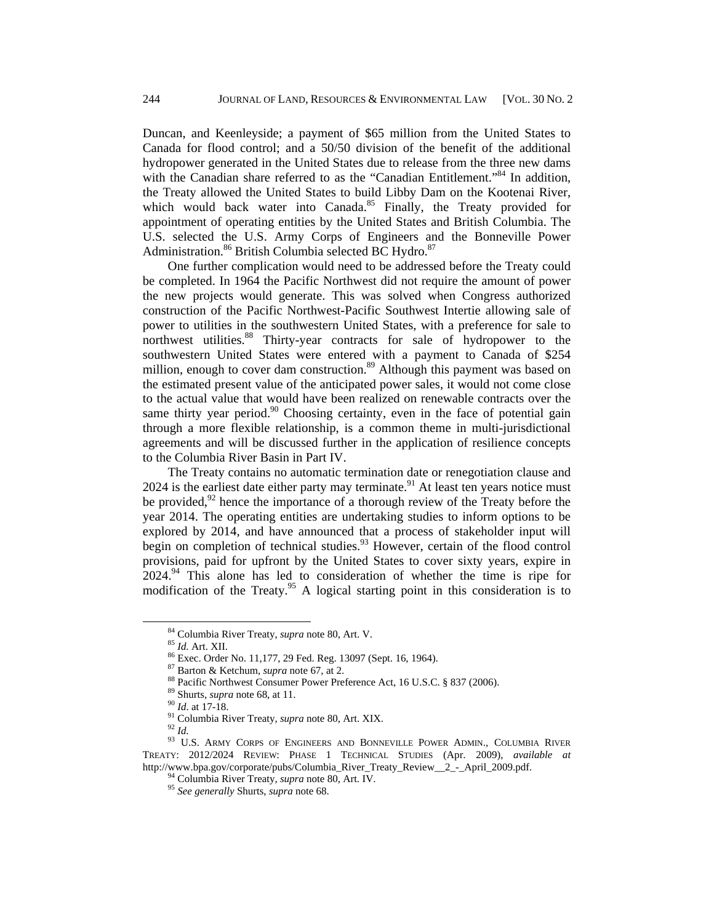Duncan, and Keenleyside; a payment of \$65 million from the United States to Canada for flood control; and a 50/50 division of the benefit of the additional hydropower generated in the United States due to release from the three new dams with the Canadian share referred to as the "Canadian Entitlement."<sup>84</sup> In addition, the Treaty allowed the United States to build Libby Dam on the Kootenai River, which would back water into Canada. $85$  Finally, the Treaty provided for appointment of operating entities by the United States and British Columbia. The U.S. selected the U.S. Army Corps of Engineers and the Bonneville Power Administration.<sup>86</sup> British Columbia selected BC Hydro.<sup>87</sup>

One further complication would need to be addressed before the Treaty could be completed. In 1964 the Pacific Northwest did not require the amount of power the new projects would generate. This was solved when Congress authorized construction of the Pacific Northwest-Pacific Southwest Intertie allowing sale of power to utilities in the southwestern United States, with a preference for sale to northwest utilities.<sup>88</sup> Thirty-year contracts for sale of hydropower to the southwestern United States were entered with a payment to Canada of \$254 million, enough to cover dam construction.<sup>89</sup> Although this payment was based on the estimated present value of the anticipated power sales, it would not come close to the actual value that would have been realized on renewable contracts over the same thirty year period.<sup>90</sup> Choosing certainty, even in the face of potential gain through a more flexible relationship, is a common theme in multi-jurisdictional agreements and will be discussed further in the application of resilience concepts to the Columbia River Basin in Part IV.

The Treaty contains no automatic termination date or renegotiation clause and  $2024$  is the earliest date either party may terminate.<sup>91</sup> At least ten years notice must be provided, $92$  hence the importance of a thorough review of the Treaty before the year 2014. The operating entities are undertaking studies to inform options to be explored by 2014, and have announced that a process of stakeholder input will begin on completion of technical studies.<sup>93</sup> However, certain of the flood control provisions, paid for upfront by the United States to cover sixty years, expire in  $2024<sup>94</sup>$  This alone has led to consideration of whether the time is ripe for modification of the Treaty.<sup>95</sup> A logical starting point in this consideration is to

<sup>&</sup>lt;sup>84</sup> Columbia River Treaty, *supra* note 80, Art. V.<br><sup>85</sup> *Id.* Art. XII.<br><sup>86</sup> Exec. Order No. 11,177, 29 Fed. Reg. 13097 (Sept. 16, 1964).<br><sup>87</sup> Barton & Ketchum, *supra* note 67, at 2.

<sup>&</sup>lt;sup>88</sup> Pacific Northwest Consumer Power Preference Act, 16 U.S.C. § 837 (2006).<br><sup>89</sup> Shurts, *supra* note 68, at 11.<br><sup>90</sup> Id. at 17-18.<br><sup>91</sup> Columbia River Treaty, *supra* note 80, Art. XIX.<br><sup>92</sup> Id.<br><sup>93</sup> U.S. ARMY CORPS OF TREATY: 2012/2024 REVIEW: PHASE 1 TECHNICAL STUDIES (Apr. 2009), *available at*  http://www.bpa.gov/corporate/pubs/Columbia\_River\_Treaty\_Review\_\_2\_-\_April\_2009.pdf. 94 Columbia River Treaty, *supra* note 80, Art. IV. 95 *See generally* Shurts, *supra* note 68.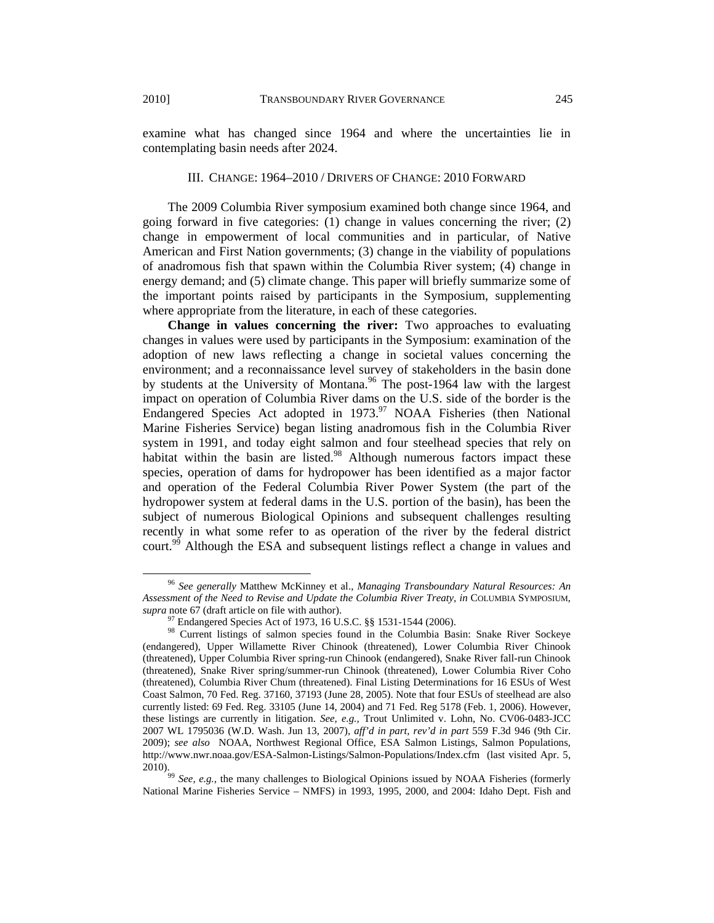examine what has changed since 1964 and where the uncertainties lie in contemplating basin needs after 2024.

#### III. CHANGE: 1964–2010 / DRIVERS OF CHANGE: 2010 FORWARD

The 2009 Columbia River symposium examined both change since 1964, and going forward in five categories: (1) change in values concerning the river; (2) change in empowerment of local communities and in particular, of Native American and First Nation governments; (3) change in the viability of populations of anadromous fish that spawn within the Columbia River system; (4) change in energy demand; and (5) climate change. This paper will briefly summarize some of the important points raised by participants in the Symposium, supplementing where appropriate from the literature, in each of these categories.

**Change in values concerning the river:** Two approaches to evaluating changes in values were used by participants in the Symposium: examination of the adoption of new laws reflecting a change in societal values concerning the environment; and a reconnaissance level survey of stakeholders in the basin done by students at the University of Montana.<sup>96</sup> The post-1964 law with the largest impact on operation of Columbia River dams on the U.S. side of the border is the Endangered Species Act adopted in  $1973$ .<sup>97</sup> NOAA Fisheries (then National Marine Fisheries Service) began listing anadromous fish in the Columbia River system in 1991, and today eight salmon and four steelhead species that rely on habitat within the basin are listed.<sup>98</sup> Although numerous factors impact these species, operation of dams for hydropower has been identified as a major factor and operation of the Federal Columbia River Power System (the part of the hydropower system at federal dams in the U.S. portion of the basin), has been the subject of numerous Biological Opinions and subsequent challenges resulting recently in what some refer to as operation of the river by the federal district court.<sup>99</sup> Although the ESA and subsequent listings reflect a change in values and

 <sup>96</sup> *See generally* Matthew McKinney et al., *Managing Transboundary Natural Resources: An Assessment of the Need to Revise and Update the Columbia River Treaty, in* COLUMBIA SYMPOSIUM, *supra* note 67 (draft article on file with author).

Endangered Species Act of 1973, 16 U.S.C. §§ 1531-1544 (2006).

<sup>98</sup> Current listings of salmon species found in the Columbia Basin: Snake River Sockeye (endangered), Upper Willamette River Chinook (threatened), Lower Columbia River Chinook (threatened), Upper Columbia River spring-run Chinook (endangered), Snake River fall-run Chinook (threatened), Snake River spring/summer-run Chinook (threatened), Lower Columbia River Coho (threatened), Columbia River Chum (threatened). Final Listing Determinations for 16 ESUs of West Coast Salmon, 70 Fed. Reg. 37160, 37193 (June 28, 2005). Note that four ESUs of steelhead are also currently listed: 69 Fed. Reg. 33105 (June 14, 2004) and 71 Fed. Reg 5178 (Feb. 1, 2006). However, these listings are currently in litigation. *See, e.g.,* Trout Unlimited v. Lohn, No. CV06-0483-JCC 2007 WL 1795036 (W.D. Wash. Jun 13, 2007), *aff'd in part, rev'd in part* 559 F.3d 946 (9th Cir. 2009); *see also* NOAA, Northwest Regional Office, ESA Salmon Listings, Salmon Populations, http://www.nwr.noaa.gov/ESA-Salmon-Listings/Salmon-Populations/Index.cfm (last visited Apr. 5,

<sup>2010). 99</sup> *See, e.g.,* the many challenges to Biological Opinions issued by NOAA Fisheries (formerly National Marine Fisheries Service – NMFS) in 1993, 1995, 2000, and 2004: Idaho Dept. Fish and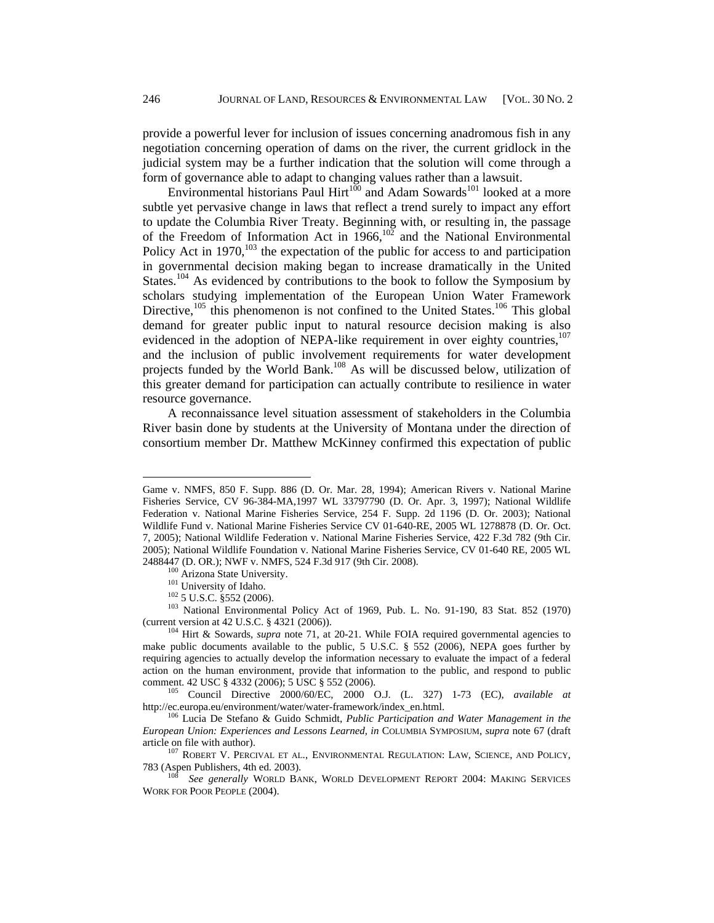provide a powerful lever for inclusion of issues concerning anadromous fish in any negotiation concerning operation of dams on the river, the current gridlock in the judicial system may be a further indication that the solution will come through a form of governance able to adapt to changing values rather than a lawsuit.

Environmental historians Paul Hirt $^{100}$  and Adam Sowards<sup>101</sup> looked at a more subtle yet pervasive change in laws that reflect a trend surely to impact any effort to update the Columbia River Treaty. Beginning with, or resulting in, the passage of the Freedom of Information Act in  $1966$ ,  $102$  and the National Environmental Policy Act in  $1970$ ,  $^{103}$  the expectation of the public for access to and participation in governmental decision making began to increase dramatically in the United States.<sup>104</sup> As evidenced by contributions to the book to follow the Symposium by scholars studying implementation of the European Union Water Framework Directive, $105$  this phenomenon is not confined to the United States.<sup>106</sup> This global demand for greater public input to natural resource decision making is also evidenced in the adoption of NEPA-like requirement in over eighty countries, $107$ and the inclusion of public involvement requirements for water development projects funded by the World Bank.108 As will be discussed below, utilization of this greater demand for participation can actually contribute to resilience in water resource governance.

A reconnaissance level situation assessment of stakeholders in the Columbia River basin done by students at the University of Montana under the direction of consortium member Dr. Matthew McKinney confirmed this expectation of public

Game v. NMFS, 850 F. Supp. 886 (D. Or. Mar. 28, 1994); American Rivers v. National Marine Fisheries Service, CV 96-384-MA,1997 WL 33797790 (D. Or. Apr. 3, 1997); National Wildlife Federation v. National Marine Fisheries Service, 254 F. Supp. 2d 1196 (D. Or. 2003); National Wildlife Fund v. National Marine Fisheries Service CV 01-640-RE, 2005 WL 1278878 (D. Or. Oct. 7, 2005); National Wildlife Federation v. National Marine Fisheries Service, 422 F.3d 782 (9th Cir. 2005); National Wildlife Foundation v. National Marine Fisheries Service, CV 01-640 RE, 2005 WL 2488447 (D. OR.); NWF v. NMFS, 524 F.3d 917 (9th Cir. 2008).<br>
<sup>100</sup> Arizona State University.<br>
<sup>101</sup> University of Idaho.<br>
<sup>102</sup> 5 U.S.C. §552 (2006).<br>
<sup>102</sup> National Environmental Policy Act of 1969, Pub. L. No. 91-190, 8

<sup>(</sup>current version at 42 U.S.C. § 4321 (2006)).<br><sup>104</sup> Hirt & Sowards, *supra* note 71, at 20-21. While FOIA required governmental agencies to

make public documents available to the public, 5 U.S.C. § 552 (2006), NEPA goes further by requiring agencies to actually develop the information necessary to evaluate the impact of a federal action on the human environment, provide that information to the public, and respond to public

comment. 42 USC § 4332 (2006); 5 USC § 552 (2006).<br><sup>105</sup> Council Directive 2000/60/EC, 2000 O.J. (L. 327) 1-73 (EC), *available at* http://ec.europa.eu/environment/water/water-framework/index\_en.html.

<sup>&</sup>lt;sup>106</sup> Lucia De Stefano & Guido Schmidt, *Public Participation and Water Management in the European Union: Experiences and Lessons Learned, in* COLUMBIA SYMPOSIUM, *supra* note 67 (draft

 $^{107}$  ROBERT V. PERCIVAL ET AL., ENVIRONMENTAL REGULATION: LAW, SCIENCE, AND POLICY, 783 (Aspen Publishers, 4th ed. 2003).

<sup>783 (</sup>Aspen Publishers, 4th ed. 2003). 108 *See generally* WORLD BANK, WORLD DEVELOPMENT REPORT 2004: MAKING SERVICES WORK FOR POOR PEOPLE (2004).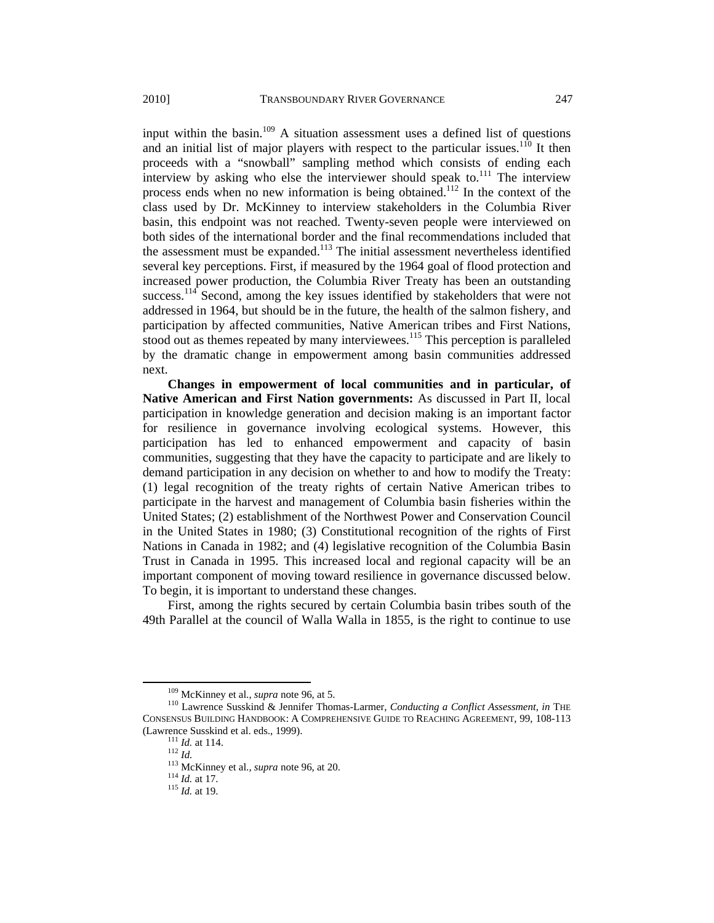input within the basin.<sup>109</sup> A situation assessment uses a defined list of questions and an initial list of major players with respect to the particular issues.<sup>110</sup> It then proceeds with a "snowball" sampling method which consists of ending each interview by asking who else the interviewer should speak to.<sup>111</sup> The interview process ends when no new information is being obtained.<sup>112</sup> In the context of the class used by Dr. McKinney to interview stakeholders in the Columbia River basin, this endpoint was not reached. Twenty-seven people were interviewed on both sides of the international border and the final recommendations included that the assessment must be expanded.<sup>113</sup> The initial assessment nevertheless identified several key perceptions. First, if measured by the 1964 goal of flood protection and increased power production, the Columbia River Treaty has been an outstanding success.<sup>114</sup> Second, among the key issues identified by stakeholders that were not addressed in 1964, but should be in the future, the health of the salmon fishery, and participation by affected communities, Native American tribes and First Nations, stood out as themes repeated by many interviewees.<sup>115</sup> This perception is paralleled by the dramatic change in empowerment among basin communities addressed next.

**Changes in empowerment of local communities and in particular, of Native American and First Nation governments:** As discussed in Part II, local participation in knowledge generation and decision making is an important factor for resilience in governance involving ecological systems. However, this participation has led to enhanced empowerment and capacity of basin communities, suggesting that they have the capacity to participate and are likely to demand participation in any decision on whether to and how to modify the Treaty: (1) legal recognition of the treaty rights of certain Native American tribes to participate in the harvest and management of Columbia basin fisheries within the United States; (2) establishment of the Northwest Power and Conservation Council in the United States in 1980; (3) Constitutional recognition of the rights of First Nations in Canada in 1982; and (4) legislative recognition of the Columbia Basin Trust in Canada in 1995. This increased local and regional capacity will be an important component of moving toward resilience in governance discussed below. To begin, it is important to understand these changes.

First, among the rights secured by certain Columbia basin tribes south of the 49th Parallel at the council of Walla Walla in 1855, is the right to continue to use

<sup>&</sup>lt;sup>109</sup> McKinney et al., *supra* note 96, at 5.<br><sup>110</sup> Lawrence Susskind & Jennifer Thomas-Larmer, *Conducting a Conflict Assessment*, *in* THE CONSENSUS BUILDING HANDBOOK: A COMPREHENSIVE GUIDE TO REACHING AGREEMENT, 99, 108-113 (Lawrence Susskind et al. eds., 1999).

<sup>&</sup>lt;sup>111</sup> *Id.* at 114.<br><sup>112</sup> *Id.*<br><sup>113</sup> McKinney et al., *supra* note 96, at 20.<br><sup>114</sup> *Id.* at 17.<br><sup>115</sup> *Id.* at 19.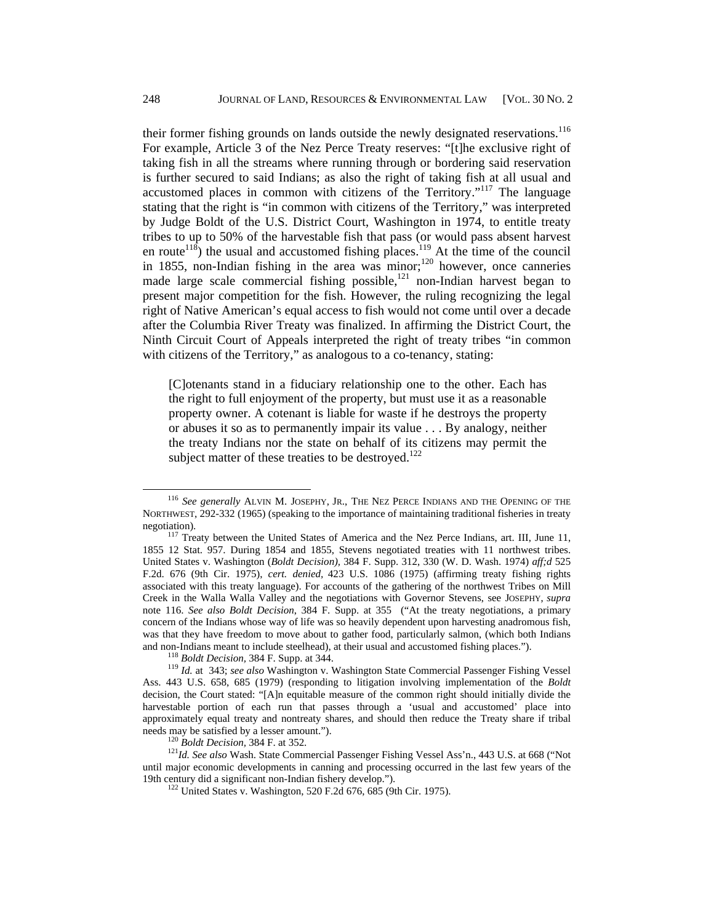their former fishing grounds on lands outside the newly designated reservations.<sup>116</sup> For example, Article 3 of the Nez Perce Treaty reserves: "[t]he exclusive right of taking fish in all the streams where running through or bordering said reservation is further secured to said Indians; as also the right of taking fish at all usual and accustomed places in common with citizens of the Territory."<sup>117</sup> The language stating that the right is "in common with citizens of the Territory," was interpreted by Judge Boldt of the U.S. District Court, Washington in 1974, to entitle treaty tribes to up to 50% of the harvestable fish that pass (or would pass absent harvest en route<sup>118</sup>) the usual and accustomed fishing places.<sup>119</sup> At the time of the council in 1855, non-Indian fishing in the area was minor;<sup>120</sup> however, once canneries made large scale commercial fishing possible, $121$  non-Indian harvest began to present major competition for the fish. However, the ruling recognizing the legal right of Native American's equal access to fish would not come until over a decade after the Columbia River Treaty was finalized. In affirming the District Court, the Ninth Circuit Court of Appeals interpreted the right of treaty tribes "in common with citizens of the Territory," as analogous to a co-tenancy, stating:

[C]otenants stand in a fiduciary relationship one to the other. Each has the right to full enjoyment of the property, but must use it as a reasonable property owner. A cotenant is liable for waste if he destroys the property or abuses it so as to permanently impair its value . . . By analogy, neither the treaty Indians nor the state on behalf of its citizens may permit the subject matter of these treaties to be destroyed.<sup>122</sup>

 <sup>116</sup> *See generally* ALVIN M. JOSEPHY, JR., THE NEZ PERCE INDIANS AND THE OPENING OF THE NORTHWEST, 292-332 (1965) (speaking to the importance of maintaining traditional fisheries in treaty

negotiation).<br><sup>117</sup> Treaty between the United States of America and the Nez Perce Indians, art. III, June 11, 1855 12 Stat. 957. During 1854 and 1855, Stevens negotiated treaties with 11 northwest tribes. United States v. Washington (*Boldt Decision),* 384 F. Supp. 312, 330 (W. D. Wash. 1974) *aff;d* 525 F.2d. 676 (9th Cir. 1975), *cert. denied,* 423 U.S. 1086 (1975) (affirming treaty fishing rights associated with this treaty language). For accounts of the gathering of the northwest Tribes on Mill Creek in the Walla Walla Valley and the negotiations with Governor Stevens, see JOSEPHY, *supra*  note 116. *See also Boldt Decision*, 384 F. Supp. at 355 ("At the treaty negotiations, a primary concern of the Indians whose way of life was so heavily dependent upon harvesting anadromous fish, was that they have freedom to move about to gather food, particularly salmon, (which both Indians and non-Indians meant to include steelhead), at their usual and accustomed fishing places.").

<sup>&</sup>lt;sup>118</sup> Boldt Decision, 384 F. Supp. at 344.<br><sup>119</sup> Id. at 343; see also Washington v. Washington State Commercial Passenger Fishing Vessel Ass. 443 U.S. 658, 685 (1979) (responding to litigation involving implementation of the *Boldt* decision, the Court stated: "[A]n equitable measure of the common right should initially divide the harvestable portion of each run that passes through a 'usual and accustomed' place into approximately equal treaty and nontreaty shares, and should then reduce the Treaty share if tribal needs may be satisfied by a lesser amount.").

<sup>&</sup>lt;sup>120</sup> Boldt Decision, 384 F. at 352. 121 *Boldt Decision, 384 F. at 352*. 121 *Id. See also* Wash. State Commercial Passenger Fishing Vessel Ass'n., 443 U.S. at 668 ("Not until major economic developments in canning and processing occurred in the last few years of the 19th century did a significant non-Indian fishery develop."). 122 United States v. Washington, 520 F.2d 676, 685 (9th Cir. 1975).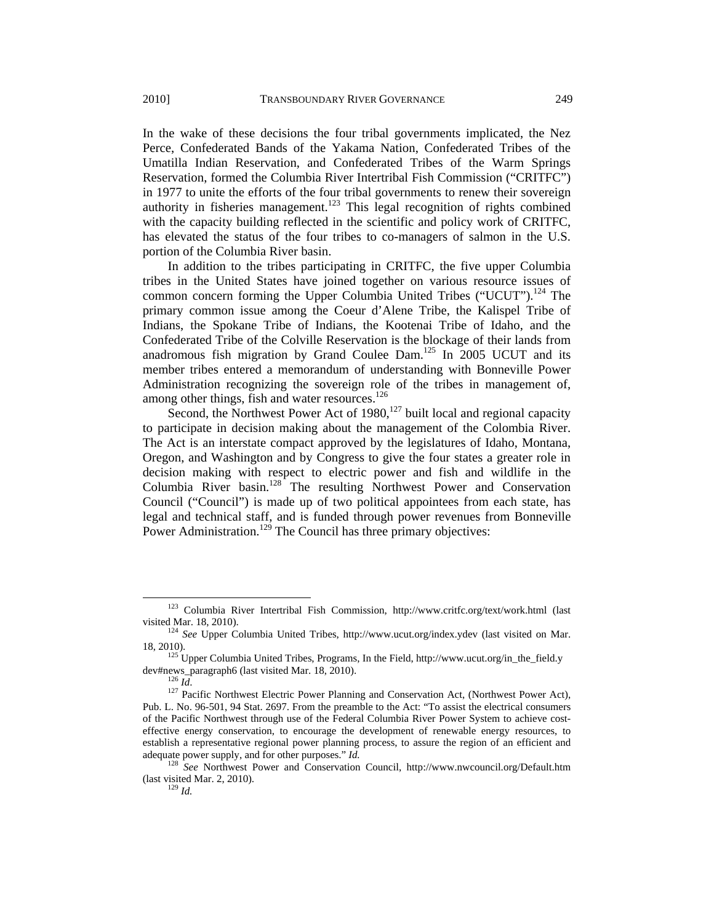In the wake of these decisions the four tribal governments implicated, the Nez Perce, Confederated Bands of the Yakama Nation, Confederated Tribes of the Umatilla Indian Reservation, and Confederated Tribes of the Warm Springs Reservation, formed the Columbia River Intertribal Fish Commission ("CRITFC") in 1977 to unite the efforts of the four tribal governments to renew their sovereign authority in fisheries management.<sup>123</sup> This legal recognition of rights combined with the capacity building reflected in the scientific and policy work of CRITFC, has elevated the status of the four tribes to co-managers of salmon in the U.S. portion of the Columbia River basin.

In addition to the tribes participating in CRITFC, the five upper Columbia tribes in the United States have joined together on various resource issues of common concern forming the Upper Columbia United Tribes ("UCUT").<sup>124</sup> The primary common issue among the Coeur d'Alene Tribe, the Kalispel Tribe of Indians, the Spokane Tribe of Indians, the Kootenai Tribe of Idaho, and the Confederated Tribe of the Colville Reservation is the blockage of their lands from anadromous fish migration by Grand Coulee  $Dam$ <sup>125</sup> In 2005 UCUT and its member tribes entered a memorandum of understanding with Bonneville Power Administration recognizing the sovereign role of the tribes in management of, among other things, fish and water resources.<sup>126</sup>

Second, the Northwest Power Act of  $1980$ ,  $127$  built local and regional capacity to participate in decision making about the management of the Colombia River. The Act is an interstate compact approved by the legislatures of Idaho, Montana, Oregon, and Washington and by Congress to give the four states a greater role in decision making with respect to electric power and fish and wildlife in the Columbia River basin.<sup>128</sup> The resulting Northwest Power and Conservation Council ("Council") is made up of two political appointees from each state, has legal and technical staff, and is funded through power revenues from Bonneville Power Administration.<sup>129</sup> The Council has three primary objectives:

 123 Columbia River Intertribal Fish Commission, http://www.critfc.org/text/work.html (last visited Mar. 18, 2010). 124 *See* Upper Columbia United Tribes, http://www.ucut.org/index.ydev (last visited on Mar.

<sup>18, 2010). 125</sup> Upper Columbia United Tribes, Programs, In the Field, http://www.ucut.org/in\_the\_field.y

dev#news\_paragraph6 (last visited Mar. 18, 2010).<br><sup>126</sup> *Id*. <sup>127</sup> Pacific Northwest Electric Power Planning and Conservation Act, (Northwest Power Act), Pub. L. No. 96-501, 94 Stat. 2697. From the preamble to the Act: "To assist the electrical consumers of the Pacific Northwest through use of the Federal Columbia River Power System to achieve costeffective energy conservation, to encourage the development of renewable energy resources, to establish a representative regional power planning process, to assure the region of an efficient and adequate power supply, and for other purposes." *Id.*<br><sup>128</sup> *See* Northwest Power and Conservation Council, http://www.nwcouncil.org/Default.htm

<sup>(</sup>last visited Mar. 2, 2010). 129 *Id.*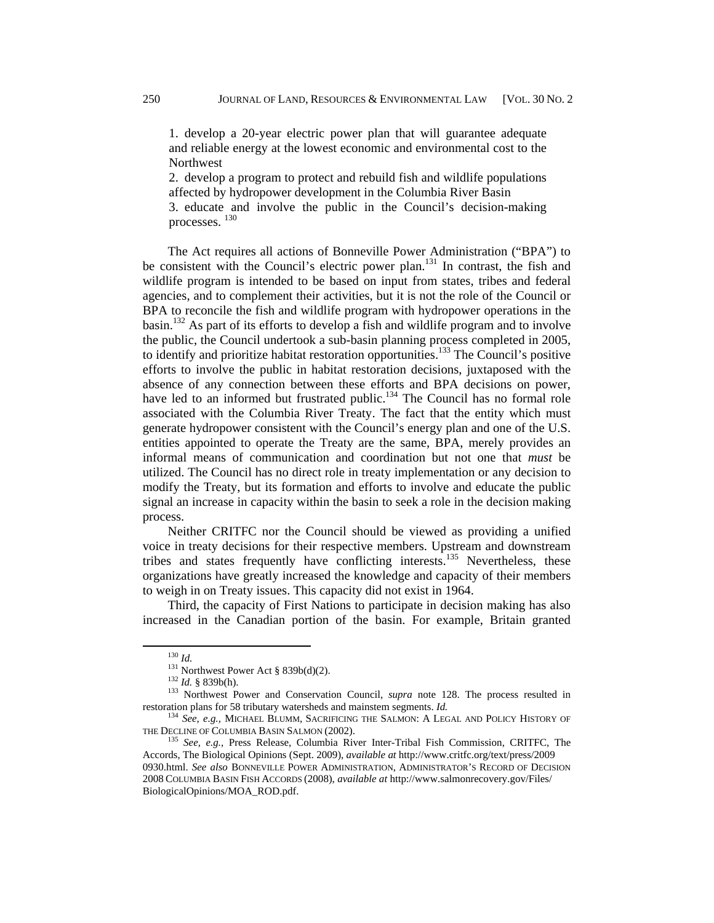1. develop a 20-year electric power plan that will guarantee adequate and reliable energy at the lowest economic and environmental cost to the **Northwest** 

2. develop a program to protect and rebuild fish and wildlife populations affected by hydropower development in the Columbia River Basin 3. educate and involve the public in the Council's decision-making processes.  $^{130}$ 

The Act requires all actions of Bonneville Power Administration ("BPA") to be consistent with the Council's electric power plan.<sup>131</sup> In contrast, the fish and wildlife program is intended to be based on input from states, tribes and federal agencies, and to complement their activities, but it is not the role of the Council or BPA to reconcile the fish and wildlife program with hydropower operations in the basin.<sup>132</sup> As part of its efforts to develop a fish and wildlife program and to involve the public, the Council undertook a sub-basin planning process completed in 2005, to identify and prioritize habitat restoration opportunities.133 The Council's positive efforts to involve the public in habitat restoration decisions, juxtaposed with the absence of any connection between these efforts and BPA decisions on power, have led to an informed but frustrated public.<sup>134</sup> The Council has no formal role associated with the Columbia River Treaty. The fact that the entity which must generate hydropower consistent with the Council's energy plan and one of the U.S. entities appointed to operate the Treaty are the same, BPA, merely provides an informal means of communication and coordination but not one that *must* be utilized. The Council has no direct role in treaty implementation or any decision to modify the Treaty, but its formation and efforts to involve and educate the public signal an increase in capacity within the basin to seek a role in the decision making process.

Neither CRITFC nor the Council should be viewed as providing a unified voice in treaty decisions for their respective members. Upstream and downstream tribes and states frequently have conflicting interests.<sup>135</sup> Nevertheless, these organizations have greatly increased the knowledge and capacity of their members to weigh in on Treaty issues. This capacity did not exist in 1964.

Third, the capacity of First Nations to participate in decision making has also increased in the Canadian portion of the basin. For example, Britain granted

<sup>130</sup> *Id.*<br>
<sup>131</sup> Northwest Power Act § 839b(d)(2).<br>
<sup>132</sup> *Id.* § 839b(h).<br>
<sup>133</sup> Northwest Power and Conservation Council, *supra* note 128. The process resulted in<br>
restoration plans for 58 tributary watersheds and mains

<sup>&</sup>lt;sup>134</sup> *See, e.g.,* MICHAEL BLUMM, SACRIFICING THE SALMON: A LEGAL AND POLICY HISTORY OF THE DECLINE OF COLUMBIA BASIN SALMON (2002).

<sup>&</sup>lt;sup>135</sup> See, e.g., Press Release, Columbia River Inter-Tribal Fish Commission, CRITFC, The Accords, The Biological Opinions (Sept. 2009), *available at* http://www.critfc.org/text/press/2009 0930.html. *See also* BONNEVILLE POWER ADMINISTRATION, ADMINISTRATOR'S RECORD OF DECISION 2008 COLUMBIA BASIN FISH ACCORDS (2008), *available at* http://www.salmonrecovery.gov/Files/ BiologicalOpinions/MOA\_ROD.pdf.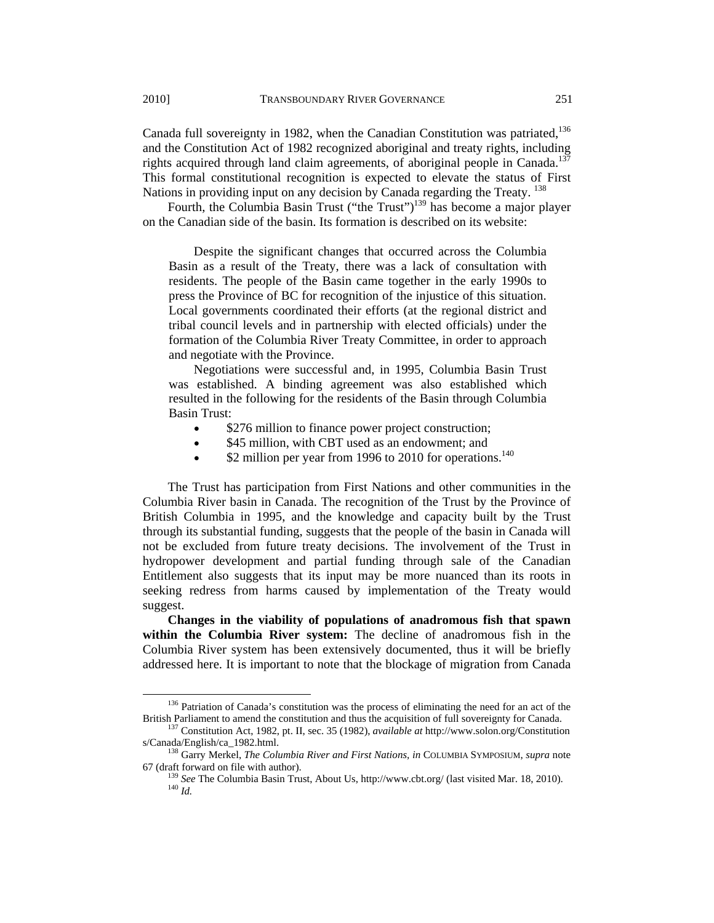Canada full sovereignty in 1982, when the Canadian Constitution was patriated,<sup>136</sup> and the Constitution Act of 1982 recognized aboriginal and treaty rights, including rights acquired through land claim agreements, of aboriginal people in Canada.<sup>137</sup> This formal constitutional recognition is expected to elevate the status of First Nations in providing input on any decision by Canada regarding the Treaty.<sup>138</sup>

Fourth, the Columbia Basin Trust ("the Trust")<sup>139</sup> has become a major player on the Canadian side of the basin. Its formation is described on its website:

Despite the significant changes that occurred across the Columbia Basin as a result of the Treaty, there was a lack of consultation with residents. The people of the Basin came together in the early 1990s to press the Province of BC for recognition of the injustice of this situation. Local governments coordinated their efforts (at the regional district and tribal council levels and in partnership with elected officials) under the formation of the Columbia River Treaty Committee, in order to approach and negotiate with the Province.

Negotiations were successful and, in 1995, Columbia Basin Trust was established. A binding agreement was also established which resulted in the following for the residents of the Basin through Columbia Basin Trust:

- \$276 million to finance power project construction;
- \$45 million, with CBT used as an endowment; and
- $$2$  million per year from 1996 to 2010 for operations.<sup>140</sup>

The Trust has participation from First Nations and other communities in the Columbia River basin in Canada. The recognition of the Trust by the Province of British Columbia in 1995, and the knowledge and capacity built by the Trust through its substantial funding, suggests that the people of the basin in Canada will not be excluded from future treaty decisions. The involvement of the Trust in hydropower development and partial funding through sale of the Canadian Entitlement also suggests that its input may be more nuanced than its roots in seeking redress from harms caused by implementation of the Treaty would suggest.

**Changes in the viability of populations of anadromous fish that spawn within the Columbia River system:** The decline of anadromous fish in the Columbia River system has been extensively documented, thus it will be briefly addressed here. It is important to note that the blockage of migration from Canada

<sup>&</sup>lt;sup>136</sup> Patriation of Canada's constitution was the process of eliminating the need for an act of the

British Parliament to amend the constitution and thus the acquisition of full sovereignty for Canada. 137 Constitution Act, 1982, pt. II, sec. 35 (1982), *available at* http://www.solon.org/Constitution

<sup>&</sup>lt;sup>138</sup> Garry Merkel, *The Columbia River and First Nations, in* COLUMBIA SYMPOSIUM, *supra* note 67 (draft forward on file with author).

<sup>&</sup>lt;sup>139</sup> *See* The Columbia Basin Trust, About Us, http://www.cbt.org/ (last visited Mar. 18, 2010). <sup>140</sup> *Id*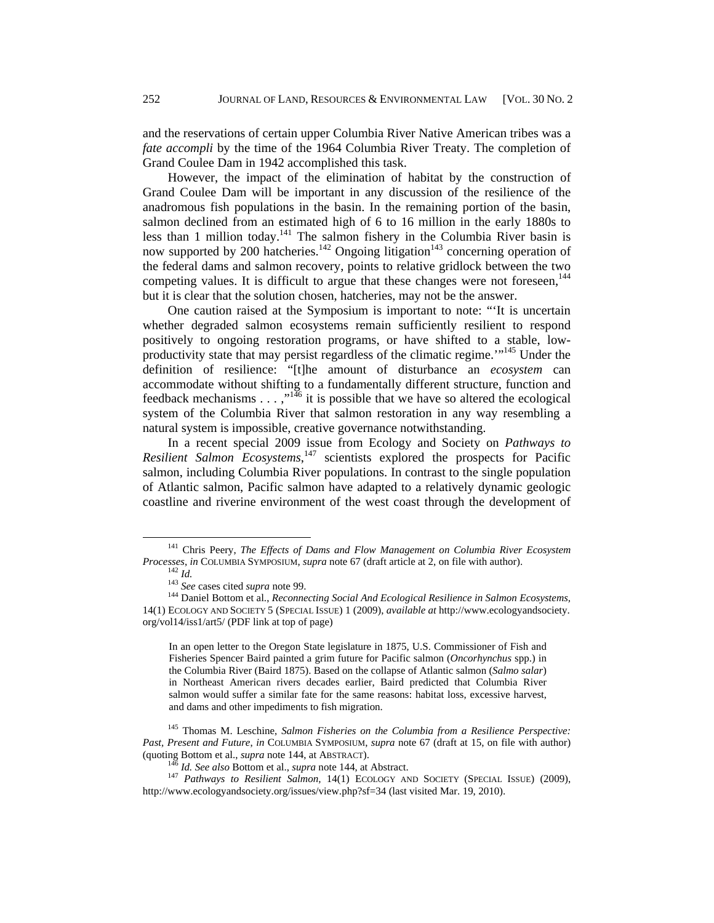and the reservations of certain upper Columbia River Native American tribes was a *fate accompli* by the time of the 1964 Columbia River Treaty. The completion of Grand Coulee Dam in 1942 accomplished this task.

However, the impact of the elimination of habitat by the construction of Grand Coulee Dam will be important in any discussion of the resilience of the anadromous fish populations in the basin. In the remaining portion of the basin, salmon declined from an estimated high of 6 to 16 million in the early 1880s to less than 1 million today.<sup>141</sup> The salmon fishery in the Columbia River basin is now supported by 200 hatcheries.<sup>142</sup> Ongoing litigation<sup>143</sup> concerning operation of the federal dams and salmon recovery, points to relative gridlock between the two competing values. It is difficult to argue that these changes were not foreseen,  $144$ but it is clear that the solution chosen, hatcheries, may not be the answer.

One caution raised at the Symposium is important to note: "'It is uncertain whether degraded salmon ecosystems remain sufficiently resilient to respond positively to ongoing restoration programs, or have shifted to a stable, lowproductivity state that may persist regardless of the climatic regime.<sup>"145</sup> Under the definition of resilience: "[t]he amount of disturbance an *ecosystem* can accommodate without shifting to a fundamentally different structure, function and feedback mechanisms  $\dots$ ,"<sup>146</sup> it is possible that we have so altered the ecological system of the Columbia River that salmon restoration in any way resembling a natural system is impossible, creative governance notwithstanding.

In a recent special 2009 issue from Ecology and Society on *Pathways to Resilient Salmon Ecosystems*, 147 scientists explored the prospects for Pacific salmon, including Columbia River populations. In contrast to the single population of Atlantic salmon, Pacific salmon have adapted to a relatively dynamic geologic coastline and riverine environment of the west coast through the development of

In an open letter to the Oregon State legislature in 1875, U.S. Commissioner of Fish and Fisheries Spencer Baird painted a grim future for Pacific salmon (*Oncorhynchus* spp.) in the Columbia River (Baird 1875). Based on the collapse of Atlantic salmon (*Salmo salar*) in Northeast American rivers decades earlier, Baird predicted that Columbia River salmon would suffer a similar fate for the same reasons: habitat loss, excessive harvest, and dams and other impediments to fish migration.

145 Thomas M. Leschine, *Salmon Fisheries on the Columbia from a Resilience Perspective: Past, Present and Future*, *in* COLUMBIA SYMPOSIUM, *supra* note 67 (draft at 15, on file with author) (quoting Bottom et al., *supra* note 144, at ABSTRACT).<br><sup>146</sup> Id. See also Bottom et al., *supra* note 144, at Abstract.<br><sup>147</sup> Pathways to Resilient Salmon, 14(1) ECOLOGY AND SOCIETY (SPECIAL ISSUE) (2009),

<sup>&</sup>lt;sup>141</sup> Chris Peery, *The Effects of Dams and Flow Management on Columbia River Ecosystem Processes, in COLUMBIA SYMPOSIUM, supra note 67 (draft article at 2, on file with author).* 

 $142$  *Id.*<br>  $143$  *See* cases cited *supra* note 99.<br>  $144$  Daniel Bottom et al., *Reconnecting Social And Ecological Resilience in Salmon Ecosystems*, 14(1) ECOLOGY AND SOCIETY 5 (SPECIAL ISSUE) 1 (2009), *available at* http://www.ecologyandsociety. org/vol14/iss1/art5/ (PDF link at top of page)

http://www.ecologyandsociety.org/issues/view.php?sf=34 (last visited Mar. 19, 2010).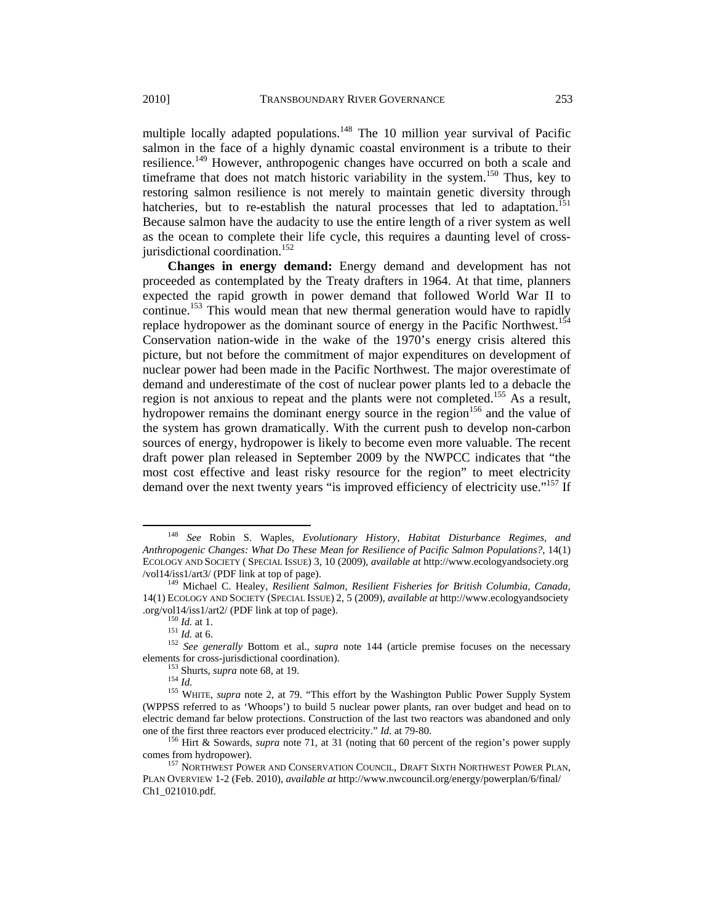multiple locally adapted populations.<sup>148</sup> The 10 million year survival of Pacific salmon in the face of a highly dynamic coastal environment is a tribute to their resilience.<sup>149</sup> However, anthropogenic changes have occurred on both a scale and timeframe that does not match historic variability in the system.<sup>150</sup> Thus, key to restoring salmon resilience is not merely to maintain genetic diversity through hatcheries, but to re-establish the natural processes that led to adaptation.<sup>151</sup> Because salmon have the audacity to use the entire length of a river system as well as the ocean to complete their life cycle, this requires a daunting level of crossjurisdictional coordination.<sup>152</sup>

**Changes in energy demand:** Energy demand and development has not proceeded as contemplated by the Treaty drafters in 1964. At that time, planners expected the rapid growth in power demand that followed World War II to continue.<sup>153</sup> This would mean that new thermal generation would have to rapidly replace hydropower as the dominant source of energy in the Pacific Northwest.<sup>154</sup> Conservation nation-wide in the wake of the 1970's energy crisis altered this picture, but not before the commitment of major expenditures on development of nuclear power had been made in the Pacific Northwest. The major overestimate of demand and underestimate of the cost of nuclear power plants led to a debacle the region is not anxious to repeat and the plants were not completed.155 As a result, hydropower remains the dominant energy source in the region<sup>156</sup> and the value of the system has grown dramatically. With the current push to develop non-carbon sources of energy, hydropower is likely to become even more valuable. The recent draft power plan released in September 2009 by the NWPCC indicates that "the most cost effective and least risky resource for the region" to meet electricity demand over the next twenty years "is improved efficiency of electricity use."<sup>157</sup> If

 <sup>148</sup> *See* Robin S. Waples*, Evolutionary History, Habitat Disturbance Regimes, and Anthropogenic Changes: What Do These Mean for Resilience of Pacific Salmon Populations?*, 14(1) ECOLOGY AND SOCIETY ( SPECIAL ISSUE) 3, 10 (2009)*, available at* http://www.ecologyandsociety.org

<sup>&</sup>lt;sup>149</sup> Michael C. Healey, *Resilient Salmon, Resilient Fisheries for British Columbia, Canada,* 14(1) ECOLOGY AND SOCIETY (SPECIAL ISSUE) 2, 5 (2009), *available at* http://www.ecologyandsociety

<sup>&</sup>lt;sup>150</sup>*Id.* at 1. 151 *Id.* at 6. 151 *Id.* at 6. 152 *See generally Bottom et al., <i>supra* note 144 (article premise focuses on the necessary elements for cross-jurisdictional coordination).<br>
<sup>153</sup> Shurts, *supra* note 68, at 19.<br>
<sup>154</sup> *Id.* <sup>155</sup> WHITE, *supra* note 2, at 79. "This effort by the Washington Public Power Supply System

<sup>(</sup>WPPSS referred to as 'Whoops') to build 5 nuclear power plants, ran over budget and head on to electric demand far below protections. Construction of the last two reactors was abandoned and only

one of the first three reactors ever produced electricity." *Id.* at 79-80.<br><sup>156</sup> Hirt & Sowards, *supra* note 71, at 31 (noting that 60 percent of the region's power supply comes from hydropower).

<sup>&</sup>lt;sup>157</sup> NORTHWEST POWER AND CONSERVATION COUNCIL, DRAFT SIXTH NORTHWEST POWER PLAN, PLAN OVERVIEW 1-2 (Feb. 2010), *available at* http://www.nwcouncil.org/energy/powerplan/6/final/ Ch1\_021010.pdf.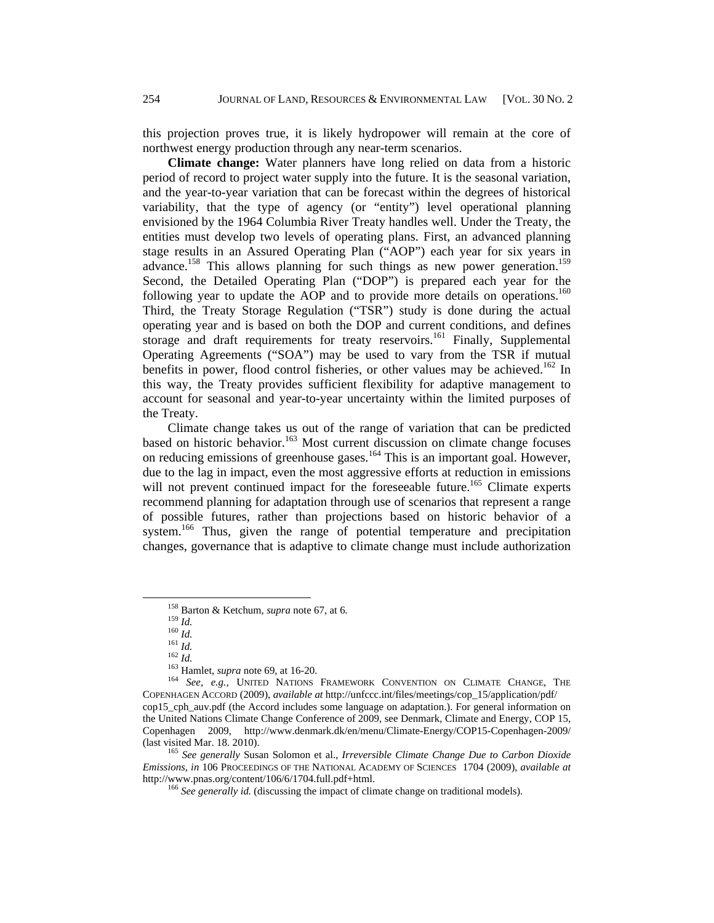this projection proves true, it is likely hydropower will remain at the core of northwest energy production through any near-term scenarios.

**Climate change:** Water planners have long relied on data from a historic period of record to project water supply into the future. It is the seasonal variation, and the year-to-year variation that can be forecast within the degrees of historical variability, that the type of agency (or "entity") level operational planning envisioned by the 1964 Columbia River Treaty handles well. Under the Treaty, the entities must develop two levels of operating plans. First, an advanced planning stage results in an Assured Operating Plan ("AOP") each year for six years in advance.<sup>158</sup> This allows planning for such things as new power generation.<sup>159</sup> Second, the Detailed Operating Plan ("DOP") is prepared each year for the following year to update the AOP and to provide more details on operations.<sup>160</sup> Third, the Treaty Storage Regulation ("TSR") study is done during the actual operating year and is based on both the DOP and current conditions, and defines storage and draft requirements for treaty reservoirs.<sup>161</sup> Finally, Supplemental Operating Agreements ("SOA") may be used to vary from the TSR if mutual benefits in power, flood control fisheries, or other values may be achieved.<sup>162</sup> In this way, the Treaty provides sufficient flexibility for adaptive management to account for seasonal and year-to-year uncertainty within the limited purposes of the Treaty.

Climate change takes us out of the range of variation that can be predicted based on historic behavior.<sup>163</sup> Most current discussion on climate change focuses on reducing emissions of greenhouse gases.<sup>164</sup> This is an important goal. However, due to the lag in impact, even the most aggressive efforts at reduction in emissions will not prevent continued impact for the foreseeable future.<sup>165</sup> Climate experts recommend planning for adaptation through use of scenarios that represent a range of possible futures, rather than projections based on historic behavior of a system.<sup>166</sup> Thus, given the range of potential temperature and precipitation changes, governance that is adaptive to climate change must include authorization

<sup>165</sup> See generally Susan Solomon et al., *Irreversible Climate Change Due to Carbon Dioxide Emissions*, *in* 106 PROCEEDINGS OF THE NATIONAL ACADEMY OF SCIENCES 1704 (2009), *available at*  http://www.pnas.org/content/106/6/1704.full.pdf+html. 166 *See generally id.* (discussing the impact of climate change on traditional models).

<sup>&</sup>lt;sup>158</sup> Barton & Ketchum, *supra* note 67, at 6.<br>
<sup>159</sup> *Id.*<br>
<sup>160</sup> *Id.*<br>
<sup>161</sup> *Id.*<br>
<sup>162</sup> *Id.*<br>
<sup>162</sup> *Id.*<br>
<sup>162</sup> *Id.*<br>
<sup>162</sup> *Id.*<br>
<sup>162</sup> *Id.*<br>
<sup>162</sup> Hamlet, *supra* note 69, at 16-20.<br>
<sup>164</sup> *See, e.g.*, UNITED N COPENHAGEN ACCORD (2009), *available at* http://unfccc.int/files/meetings/cop\_15/application/pdf/ cop15\_cph\_auv.pdf (the Accord includes some language on adaptation.). For general information on the United Nations Climate Change Conference of 2009, see Denmark, Climate and Energy, COP 15, Copenhagen 2009, http://www.denmark.dk/en/menu/Climate-Energy/COP15-Copenhagen-2009/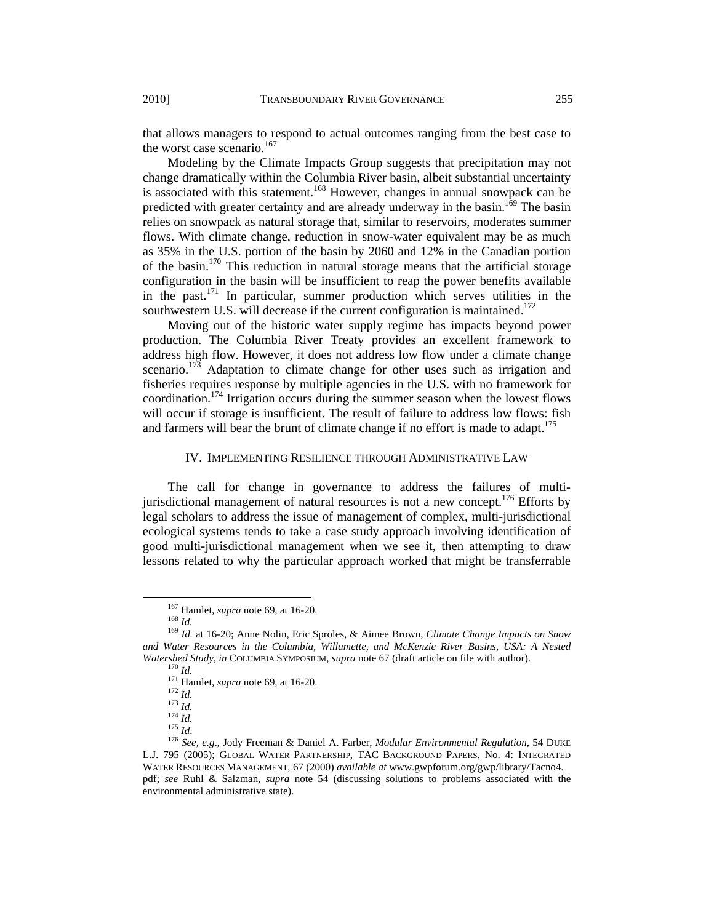that allows managers to respond to actual outcomes ranging from the best case to the worst case scenario.<sup>167</sup>

Modeling by the Climate Impacts Group suggests that precipitation may not change dramatically within the Columbia River basin, albeit substantial uncertainty is associated with this statement.<sup>168</sup> However, changes in annual snowpack can be predicted with greater certainty and are already underway in the basin.<sup>169</sup> The basin relies on snowpack as natural storage that, similar to reservoirs, moderates summer flows. With climate change, reduction in snow-water equivalent may be as much as 35% in the U.S. portion of the basin by 2060 and 12% in the Canadian portion of the basin.<sup>170</sup> This reduction in natural storage means that the artificial storage configuration in the basin will be insufficient to reap the power benefits available in the past.<sup>171</sup> In particular, summer production which serves utilities in the southwestern U.S. will decrease if the current configuration is maintained.<sup>172</sup>

Moving out of the historic water supply regime has impacts beyond power production. The Columbia River Treaty provides an excellent framework to address high flow. However, it does not address low flow under a climate change scenario.<sup>173</sup> Adaptation to climate change for other uses such as irrigation and fisheries requires response by multiple agencies in the U.S. with no framework for coordination.174 Irrigation occurs during the summer season when the lowest flows will occur if storage is insufficient. The result of failure to address low flows: fish and farmers will bear the brunt of climate change if no effort is made to adapt.<sup>175</sup>

#### IV. IMPLEMENTING RESILIENCE THROUGH ADMINISTRATIVE LAW

The call for change in governance to address the failures of multijurisdictional management of natural resources is not a new concept.<sup>176</sup> Efforts by legal scholars to address the issue of management of complex, multi-jurisdictional ecological systems tends to take a case study approach involving identification of good multi-jurisdictional management when we see it, then attempting to draw lessons related to why the particular approach worked that might be transferrable

<sup>&</sup>lt;sup>167</sup> Hamlet, *supra* note 69, at 16-20.<br><sup>168</sup> *Id. Id.* at 16-20; Anne Nolin, Eric Sproles, & Aimee Brown, *Climate Change Impacts on Snow and Water Resources in the Columbia, Willamette, and McKenzie River Basins, USA: A Nested*  Watershed Study, in COLUMBIA SYMPOSIUM, *supra* note 67 (draft article on file with author).<br><sup>170</sup> Id.<br><sup>171</sup> Hamlet, *supra* note 69, at 16-20.<br><sup>172</sup> Id.<br><sup>173</sup> Id.<br><sup>174</sup> Id.<br><sup>174</sup> Id.<br><sup>174</sup> Id.

L.J. 795 (2005); GLOBAL WATER PARTNERSHIP, TAC BACKGROUND PAPERS, No. 4: INTEGRATED WATER RESOURCES MANAGEMENT*,* 67 (2000) *available at* www.gwpforum.org/gwp/library/Tacno4. pdf; *see* Ruhl & Salzman, *supra* note 54 (discussing solutions to problems associated with the environmental administrative state).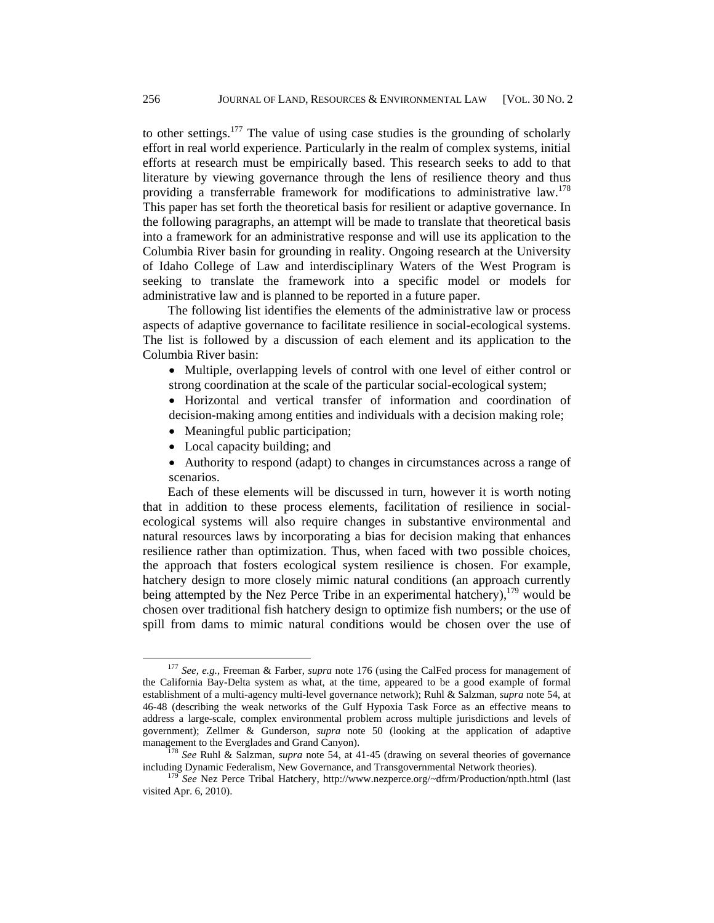to other settings.<sup>177</sup> The value of using case studies is the grounding of scholarly effort in real world experience. Particularly in the realm of complex systems, initial efforts at research must be empirically based. This research seeks to add to that literature by viewing governance through the lens of resilience theory and thus providing a transferrable framework for modifications to administrative law.<sup>178</sup> This paper has set forth the theoretical basis for resilient or adaptive governance. In the following paragraphs, an attempt will be made to translate that theoretical basis into a framework for an administrative response and will use its application to the Columbia River basin for grounding in reality. Ongoing research at the University of Idaho College of Law and interdisciplinary Waters of the West Program is seeking to translate the framework into a specific model or models for administrative law and is planned to be reported in a future paper.

The following list identifies the elements of the administrative law or process aspects of adaptive governance to facilitate resilience in social-ecological systems. The list is followed by a discussion of each element and its application to the Columbia River basin:

• Multiple, overlapping levels of control with one level of either control or strong coordination at the scale of the particular social-ecological system;

• Horizontal and vertical transfer of information and coordination of decision-making among entities and individuals with a decision making role;

- Meaningful public participation:
- Local capacity building; and
- Authority to respond (adapt) to changes in circumstances across a range of scenarios.

Each of these elements will be discussed in turn, however it is worth noting that in addition to these process elements, facilitation of resilience in socialecological systems will also require changes in substantive environmental and natural resources laws by incorporating a bias for decision making that enhances resilience rather than optimization. Thus, when faced with two possible choices, the approach that fosters ecological system resilience is chosen. For example, hatchery design to more closely mimic natural conditions (an approach currently being attempted by the Nez Perce Tribe in an experimental hatchery),  $179$  would be chosen over traditional fish hatchery design to optimize fish numbers; or the use of spill from dams to mimic natural conditions would be chosen over the use of

 <sup>177</sup> *See, e.g.,* Freeman & Farber, *supra* note 176 (using the CalFed process for management of the California Bay-Delta system as what, at the time, appeared to be a good example of formal establishment of a multi-agency multi-level governance network); Ruhl & Salzman, *supra* note 54, at 46-48 (describing the weak networks of the Gulf Hypoxia Task Force as an effective means to address a large-scale, complex environmental problem across multiple jurisdictions and levels of government); Zellmer & Gunderson, *supra* note 50 (looking at the application of adaptive management to the Everglades and Grand Canyon).

<sup>&</sup>lt;sup>178</sup> *See* Ruhl & Salzman, *supra* note 54, at 41-45 (drawing on several theories of governance including Dynamic Federalism, New Governance, and Transgovernmental Network theories). 179 *See* Nez Perce Tribal Hatchery, http://www.nezperce.org/~dfrm/Production/npth.html (last

visited Apr. 6, 2010).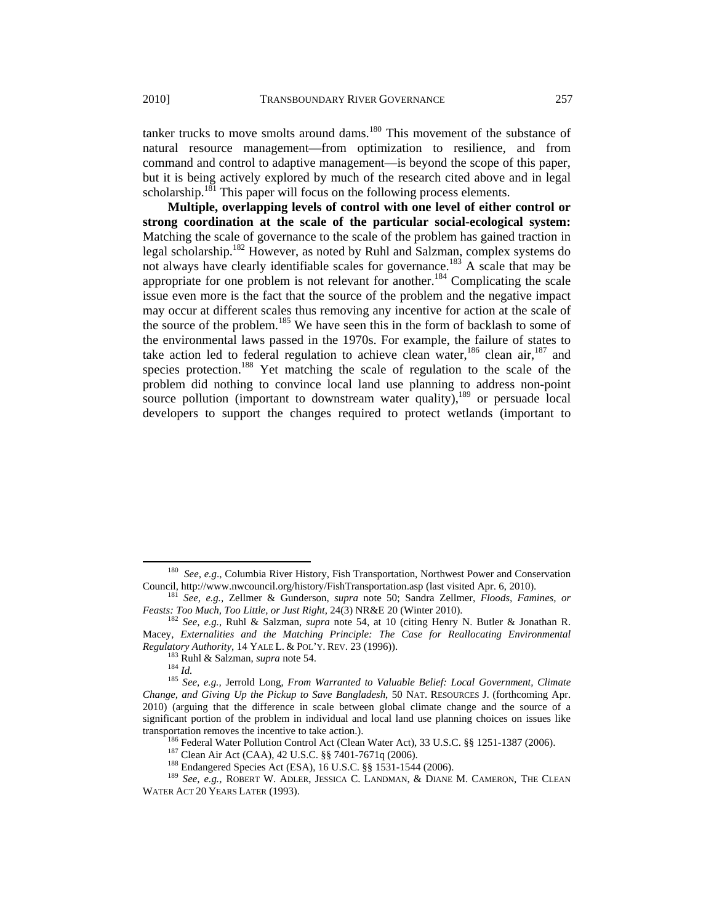tanker trucks to move smolts around dams. $180$  This movement of the substance of natural resource management—from optimization to resilience, and from command and control to adaptive management—is beyond the scope of this paper, but it is being actively explored by much of the research cited above and in legal scholarship.<sup>181</sup> This paper will focus on the following process elements.

**Multiple, overlapping levels of control with one level of either control or strong coordination at the scale of the particular social-ecological system:** Matching the scale of governance to the scale of the problem has gained traction in legal scholarship.182 However, as noted by Ruhl and Salzman, complex systems do not always have clearly identifiable scales for governance.<sup>183</sup> A scale that may be appropriate for one problem is not relevant for another.<sup>184</sup> Complicating the scale issue even more is the fact that the source of the problem and the negative impact may occur at different scales thus removing any incentive for action at the scale of the source of the problem.<sup>185</sup> We have seen this in the form of backlash to some of the environmental laws passed in the 1970s. For example, the failure of states to take action led to federal regulation to achieve clean water,  $186$  clean air,  $187$  and species protection.<sup>188</sup> Yet matching the scale of regulation to the scale of the problem did nothing to convince local land use planning to address non-point source pollution (important to downstream water quality), $189$  or persuade local developers to support the changes required to protect wetlands (important to

<sup>186</sup> Federal Water Pollution Control Act (Clean Water Act), 33 U.S.C. §§ 1251-1387 (2006).<br><sup>187</sup> Clean Air Act (CAA), 42 U.S.C. §§ 7401-7671q (2006).<br><sup>188</sup> Endangered Species Act (ESA), 16 U.S.C. §§ 1531-1544 (2006).<br><sup>18</sup>

<sup>&</sup>lt;sup>180</sup> See, e.g., Columbia River History, Fish Transportation, Northwest Power and Conservation Council, http://www.nwcouncil.org/history/FishTransportation.asp (last visited Apr. 6, 2010).

<sup>&</sup>lt;sup>181</sup> *See, e.g., Zellmer & Gunderson, <i>supra* note 50; Sandra Zellmer, *Floods, Famines, or Feasts: Too Much, Too Little, or Just Right, 24(3)* NR&E 20 (Winter 2010).

<sup>&</sup>lt;sup>182</sup> See, e.g., Ruhl & Salzman, *supra* note 54, at 10 (citing Henry N. Butler & Jonathan R. Macey, *Externalities and the Matching Principle: The Case for Reallocating Environmental Regulatory Authority*, 14 YALE L. & POL'Y. REV. 23 (1996)).

<sup>&</sup>lt;sup>183</sup> Ruhl & Salzman, *supra* note 54.<br><sup>184</sup> Id. <sup>184</sup> Id. <br><sup>185</sup> See, e.g., Jerrold Long, *From Warranted to Valuable Belief: Local Government, Climate Change, and Giving Up the Pickup to Save Bangladesh*, 50 NAT. RESOURCES J. (forthcoming Apr. 2010) (arguing that the difference in scale between global climate change and the source of a significant portion of the problem in individual and local land use planning choices on issues like transportation removes the incentive to take action.).

WATER ACT 20 YEARS LATER (1993).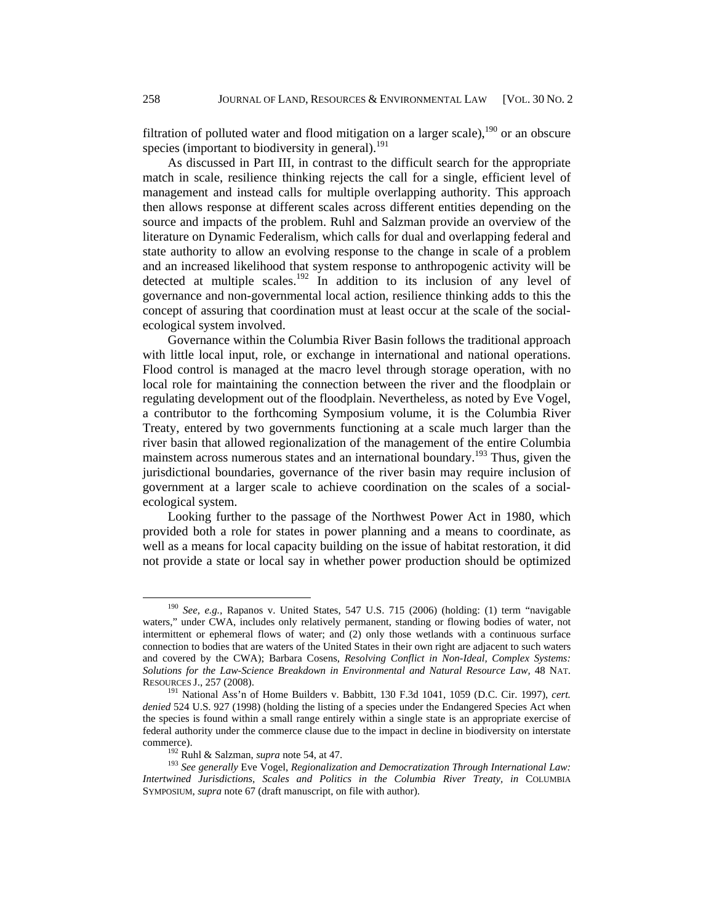filtration of polluted water and flood mitigation on a larger scale),  $190$  or an obscure species (important to biodiversity in general).<sup>191</sup>

As discussed in Part III, in contrast to the difficult search for the appropriate match in scale, resilience thinking rejects the call for a single, efficient level of management and instead calls for multiple overlapping authority. This approach then allows response at different scales across different entities depending on the source and impacts of the problem. Ruhl and Salzman provide an overview of the literature on Dynamic Federalism, which calls for dual and overlapping federal and state authority to allow an evolving response to the change in scale of a problem and an increased likelihood that system response to anthropogenic activity will be detected at multiple scales.<sup>192</sup> In addition to its inclusion of any level of governance and non-governmental local action, resilience thinking adds to this the concept of assuring that coordination must at least occur at the scale of the socialecological system involved.

Governance within the Columbia River Basin follows the traditional approach with little local input, role, or exchange in international and national operations. Flood control is managed at the macro level through storage operation, with no local role for maintaining the connection between the river and the floodplain or regulating development out of the floodplain. Nevertheless, as noted by Eve Vogel, a contributor to the forthcoming Symposium volume, it is the Columbia River Treaty, entered by two governments functioning at a scale much larger than the river basin that allowed regionalization of the management of the entire Columbia mainstem across numerous states and an international boundary.<sup>193</sup> Thus, given the jurisdictional boundaries, governance of the river basin may require inclusion of government at a larger scale to achieve coordination on the scales of a socialecological system.

Looking further to the passage of the Northwest Power Act in 1980, which provided both a role for states in power planning and a means to coordinate, as well as a means for local capacity building on the issue of habitat restoration, it did not provide a state or local say in whether power production should be optimized

 <sup>190</sup> *See, e.g.,* Rapanos v. United States, 547 U.S. 715 (2006) (holding: (1) term "navigable waters," under CWA, includes only relatively permanent, standing or flowing bodies of water, not intermittent or ephemeral flows of water; and (2) only those wetlands with a continuous surface connection to bodies that are waters of the United States in their own right are adjacent to such waters and covered by the CWA); Barbara Cosens, *Resolving Conflict in Non-Ideal, Complex Systems: Solutions for the Law-Science Breakdown in Environmental and Natural Resource Law,* 48 NAT. RESOURCES J., 257 (2008). 191 National Ass'n of Home Builders v. Babbitt, 130 F.3d 1041, 1059 (D.C. Cir. 1997), *cert.* 

*denied* 524 U.S. 927 (1998) (holding the listing of a species under the Endangered Species Act when the species is found within a small range entirely within a single state is an appropriate exercise of federal authority under the commerce clause due to the impact in decline in biodiversity on interstate commerce). 192 Ruhl & Salzman, *supra* note 54, at 47. 193 *See generally* Eve Vogel, *Regionalization and Democratization Through International Law:* 

*Intertwined Jurisdictions, Scales and Politics in the Columbia River Treaty, in* COLUMBIA SYMPOSIUM, *supra* note 67 (draft manuscript, on file with author).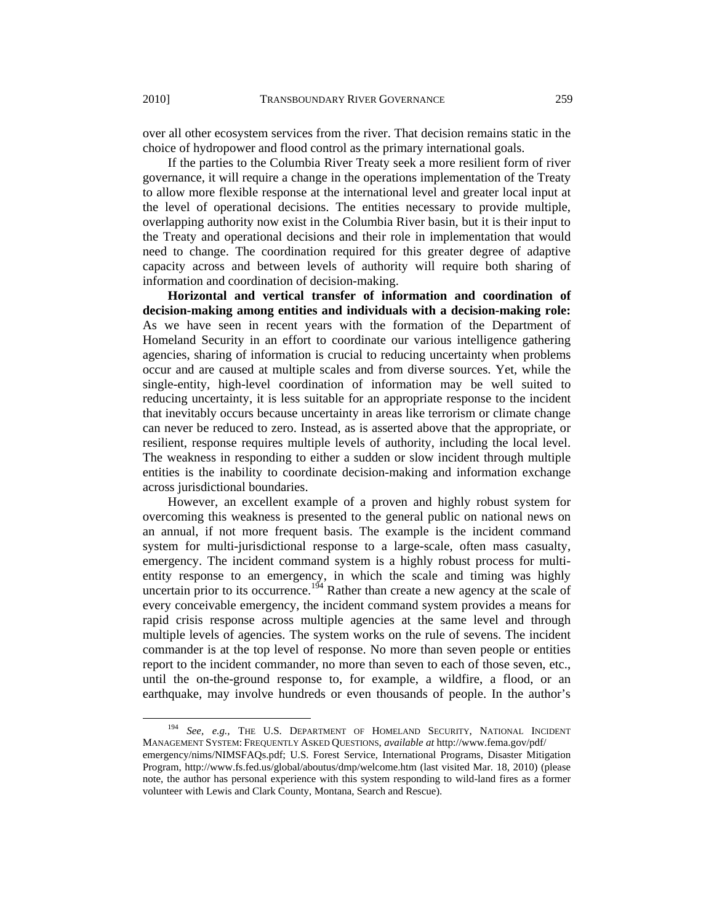over all other ecosystem services from the river. That decision remains static in the choice of hydropower and flood control as the primary international goals.

If the parties to the Columbia River Treaty seek a more resilient form of river governance, it will require a change in the operations implementation of the Treaty to allow more flexible response at the international level and greater local input at the level of operational decisions. The entities necessary to provide multiple, overlapping authority now exist in the Columbia River basin, but it is their input to the Treaty and operational decisions and their role in implementation that would need to change. The coordination required for this greater degree of adaptive capacity across and between levels of authority will require both sharing of information and coordination of decision-making.

**Horizontal and vertical transfer of information and coordination of decision-making among entities and individuals with a decision-making role:** As we have seen in recent years with the formation of the Department of Homeland Security in an effort to coordinate our various intelligence gathering agencies, sharing of information is crucial to reducing uncertainty when problems occur and are caused at multiple scales and from diverse sources. Yet, while the single-entity, high-level coordination of information may be well suited to reducing uncertainty, it is less suitable for an appropriate response to the incident that inevitably occurs because uncertainty in areas like terrorism or climate change can never be reduced to zero. Instead, as is asserted above that the appropriate, or resilient, response requires multiple levels of authority, including the local level. The weakness in responding to either a sudden or slow incident through multiple entities is the inability to coordinate decision-making and information exchange across jurisdictional boundaries.

However, an excellent example of a proven and highly robust system for overcoming this weakness is presented to the general public on national news on an annual, if not more frequent basis. The example is the incident command system for multi-jurisdictional response to a large-scale, often mass casualty, emergency. The incident command system is a highly robust process for multientity response to an emergency, in which the scale and timing was highly uncertain prior to its occurrence.<sup>194</sup> Rather than create a new agency at the scale of every conceivable emergency, the incident command system provides a means for rapid crisis response across multiple agencies at the same level and through multiple levels of agencies. The system works on the rule of sevens. The incident commander is at the top level of response. No more than seven people or entities report to the incident commander, no more than seven to each of those seven, etc., until the on-the-ground response to, for example, a wildfire, a flood, or an earthquake, may involve hundreds or even thousands of people. In the author's

 <sup>194</sup> *See, e.g.,* THE U.S. DEPARTMENT OF HOMELAND SECURITY, NATIONAL INCIDENT MANAGEMENT SYSTEM: FREQUENTLY ASKED QUESTIONS, *available at* http://www.fema.gov/pdf/

emergency/nims/NIMSFAQs.pdf; U.S. Forest Service, International Programs, Disaster Mitigation Program, http://www.fs.fed.us/global/aboutus/dmp/welcome.htm (last visited Mar. 18, 2010) (please note, the author has personal experience with this system responding to wild-land fires as a former volunteer with Lewis and Clark County, Montana, Search and Rescue).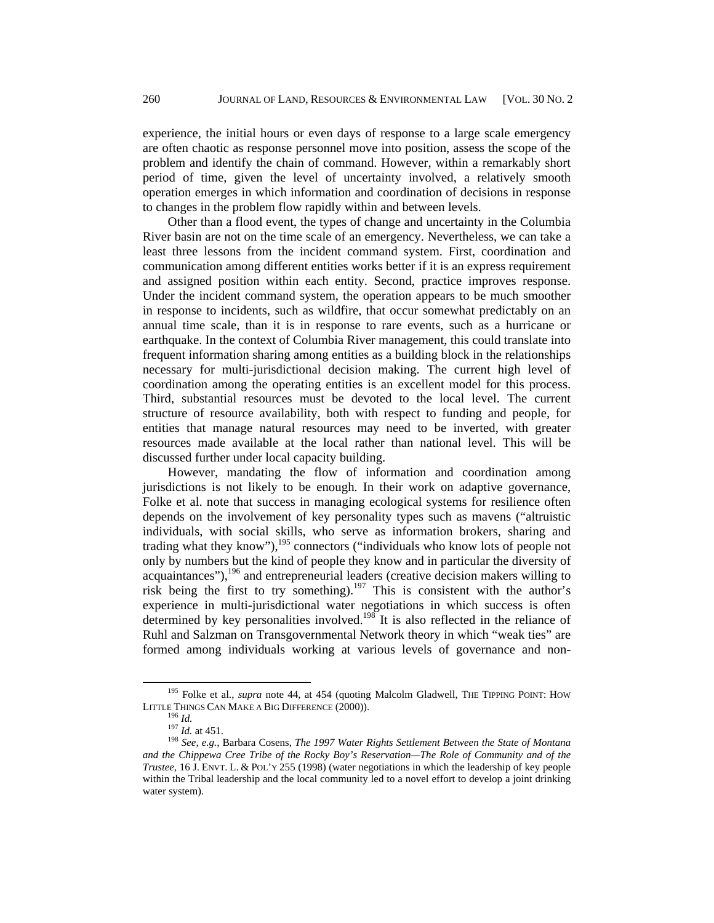experience, the initial hours or even days of response to a large scale emergency are often chaotic as response personnel move into position, assess the scope of the problem and identify the chain of command. However, within a remarkably short period of time, given the level of uncertainty involved, a relatively smooth operation emerges in which information and coordination of decisions in response to changes in the problem flow rapidly within and between levels.

Other than a flood event, the types of change and uncertainty in the Columbia River basin are not on the time scale of an emergency. Nevertheless, we can take a least three lessons from the incident command system. First, coordination and communication among different entities works better if it is an express requirement and assigned position within each entity. Second, practice improves response. Under the incident command system, the operation appears to be much smoother in response to incidents, such as wildfire, that occur somewhat predictably on an annual time scale, than it is in response to rare events, such as a hurricane or earthquake. In the context of Columbia River management, this could translate into frequent information sharing among entities as a building block in the relationships necessary for multi-jurisdictional decision making. The current high level of coordination among the operating entities is an excellent model for this process. Third, substantial resources must be devoted to the local level. The current structure of resource availability, both with respect to funding and people, for entities that manage natural resources may need to be inverted, with greater resources made available at the local rather than national level. This will be discussed further under local capacity building.

However, mandating the flow of information and coordination among jurisdictions is not likely to be enough. In their work on adaptive governance, Folke et al. note that success in managing ecological systems for resilience often depends on the involvement of key personality types such as mavens ("altruistic individuals, with social skills, who serve as information brokers, sharing and trading what they know"), $195$  connectors ("individuals who know lots of people not only by numbers but the kind of people they know and in particular the diversity of acquaintances"),  $196$  and entrepreneurial leaders (creative decision makers willing to risk being the first to try something).197 This is consistent with the author's experience in multi-jurisdictional water negotiations in which success is often determined by key personalities involved.<sup>198</sup> It is also reflected in the reliance of Ruhl and Salzman on Transgovernmental Network theory in which "weak ties" are formed among individuals working at various levels of governance and non-

<sup>&</sup>lt;sup>195</sup> Folke et al., *supra* note 44, at 454 (quoting Malcolm Gladwell, THE TIPPING POINT: HOW LITTLE THINGS CAN MAKE A BIG DIFFERENCE (2000)).

<sup>&</sup>lt;sup>196</sup> Id.<br><sup>197</sup> Id. at 451.<br><sup>198</sup> *See, e.g.,* Barbara Cosens, *The 1997 Water Rights Settlement Between the State of Montana and the Chippewa Cree Tribe of the Rocky Boy's Reservation—The Role of Community and of the Trustee*, 16 J. ENVT. L. & POL'Y 255 (1998) (water negotiations in which the leadership of key people within the Tribal leadership and the local community led to a novel effort to develop a joint drinking water system).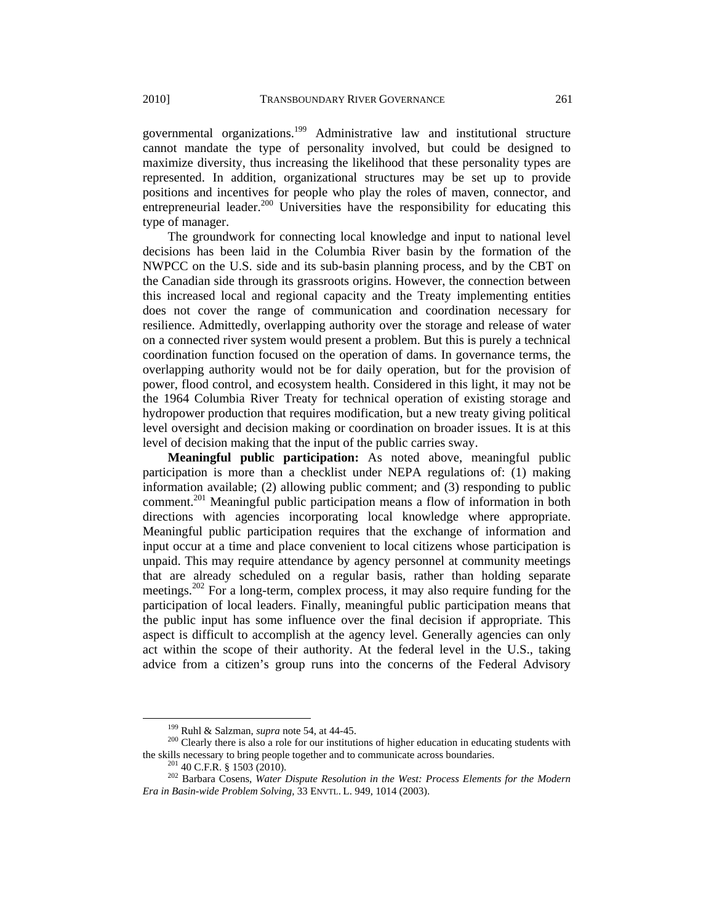governmental organizations.199 Administrative law and institutional structure cannot mandate the type of personality involved, but could be designed to maximize diversity, thus increasing the likelihood that these personality types are represented. In addition, organizational structures may be set up to provide positions and incentives for people who play the roles of maven, connector, and entrepreneurial leader.<sup>200</sup> Universities have the responsibility for educating this type of manager.

The groundwork for connecting local knowledge and input to national level decisions has been laid in the Columbia River basin by the formation of the NWPCC on the U.S. side and its sub-basin planning process, and by the CBT on the Canadian side through its grassroots origins. However, the connection between this increased local and regional capacity and the Treaty implementing entities does not cover the range of communication and coordination necessary for resilience. Admittedly, overlapping authority over the storage and release of water on a connected river system would present a problem. But this is purely a technical coordination function focused on the operation of dams. In governance terms, the overlapping authority would not be for daily operation, but for the provision of power, flood control, and ecosystem health. Considered in this light, it may not be the 1964 Columbia River Treaty for technical operation of existing storage and hydropower production that requires modification, but a new treaty giving political level oversight and decision making or coordination on broader issues. It is at this level of decision making that the input of the public carries sway.

**Meaningful public participation:** As noted above, meaningful public participation is more than a checklist under NEPA regulations of: (1) making information available; (2) allowing public comment; and (3) responding to public comment.<sup>201</sup> Meaningful public participation means a flow of information in both directions with agencies incorporating local knowledge where appropriate. Meaningful public participation requires that the exchange of information and input occur at a time and place convenient to local citizens whose participation is unpaid. This may require attendance by agency personnel at community meetings that are already scheduled on a regular basis, rather than holding separate meetings.<sup>202</sup> For a long-term, complex process, it may also require funding for the participation of local leaders. Finally, meaningful public participation means that the public input has some influence over the final decision if appropriate. This aspect is difficult to accomplish at the agency level. Generally agencies can only act within the scope of their authority. At the federal level in the U.S., taking advice from a citizen's group runs into the concerns of the Federal Advisory

<sup>&</sup>lt;sup>199</sup> Ruhl & Salzman, *supra* note 54, at 44-45.<br><sup>200</sup> Clearly there is also a role for our institutions of higher education in educating students with the skills necessary to bring people together and to communicate acro

<sup>&</sup>lt;sup>201</sup> 40 C.F.R. § 1503 (2010).<br><sup>202</sup> Barbara Cosens, *Water Dispute Resolution in the West: Process Elements for the Modern Era in Basin-wide Problem Solving,* 33 ENVTL. L. 949, 1014 (2003).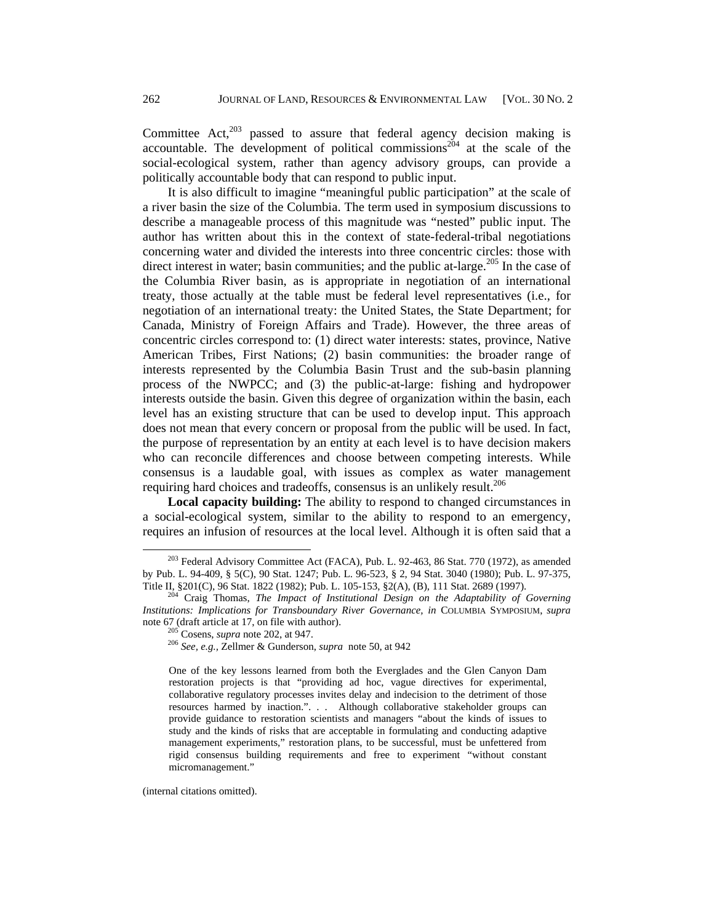Committee Act, $203$  passed to assure that federal agency decision making is accountable. The development of political commissions<sup> $204$ </sup> at the scale of the social-ecological system, rather than agency advisory groups, can provide a politically accountable body that can respond to public input.

It is also difficult to imagine "meaningful public participation" at the scale of a river basin the size of the Columbia. The term used in symposium discussions to describe a manageable process of this magnitude was "nested" public input. The author has written about this in the context of state-federal-tribal negotiations concerning water and divided the interests into three concentric circles: those with direct interest in water; basin communities; and the public at-large.<sup>205</sup> In the case of the Columbia River basin, as is appropriate in negotiation of an international treaty, those actually at the table must be federal level representatives (i.e., for negotiation of an international treaty: the United States, the State Department; for Canada, Ministry of Foreign Affairs and Trade). However, the three areas of concentric circles correspond to: (1) direct water interests: states, province, Native American Tribes, First Nations; (2) basin communities: the broader range of interests represented by the Columbia Basin Trust and the sub-basin planning process of the NWPCC; and (3) the public-at-large: fishing and hydropower interests outside the basin. Given this degree of organization within the basin, each level has an existing structure that can be used to develop input. This approach does not mean that every concern or proposal from the public will be used. In fact, the purpose of representation by an entity at each level is to have decision makers who can reconcile differences and choose between competing interests. While consensus is a laudable goal, with issues as complex as water management requiring hard choices and tradeoffs, consensus is an unlikely result.<sup>206</sup>

**Local capacity building:** The ability to respond to changed circumstances in a social-ecological system, similar to the ability to respond to an emergency, requires an infusion of resources at the local level. Although it is often said that a

(internal citations omitted).

 $203$  Federal Advisory Committee Act (FACA), Pub. L. 92-463, 86 Stat. 770 (1972), as amended by Pub. L. 94-409, § 5(C), 90 Stat. 1247; Pub. L. 96-523, § 2, 94 Stat. 3040 (1980); Pub. L. 97-375,

<sup>&</sup>lt;sup>204</sup> Craig Thomas, *The Impact of Institutional Design on the Adaptability of Governing Institutions: Implications for Transboundary River Governance, in COLUMBIA SYMPOSIUM, supra* note 67 (draft article at 17, on file with author).

note 67 (draft article at 17, on file with author). 205 Cosens, *supra* note 202, at 947. 206 *See, e.g.,* Zellmer & Gunderson, *supra* note 50, at 942

One of the key lessons learned from both the Everglades and the Glen Canyon Dam restoration projects is that "providing ad hoc, vague directives for experimental, collaborative regulatory processes invites delay and indecision to the detriment of those resources harmed by inaction.". . . Although collaborative stakeholder groups can provide guidance to restoration scientists and managers "about the kinds of issues to study and the kinds of risks that are acceptable in formulating and conducting adaptive management experiments," restoration plans, to be successful, must be unfettered from rigid consensus building requirements and free to experiment "without constant micromanagement."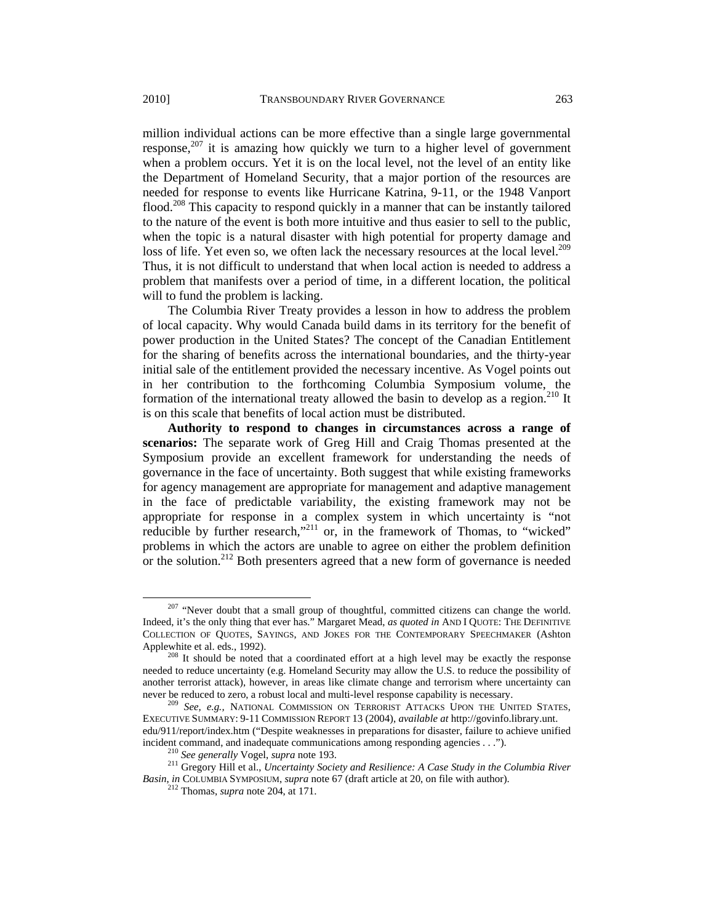million individual actions can be more effective than a single large governmental response, $207$  it is amazing how quickly we turn to a higher level of government when a problem occurs. Yet it is on the local level, not the level of an entity like the Department of Homeland Security, that a major portion of the resources are needed for response to events like Hurricane Katrina, 9-11, or the 1948 Vanport flood.<sup>208</sup> This capacity to respond quickly in a manner that can be instantly tailored to the nature of the event is both more intuitive and thus easier to sell to the public, when the topic is a natural disaster with high potential for property damage and loss of life. Yet even so, we often lack the necessary resources at the local level.<sup>209</sup> Thus, it is not difficult to understand that when local action is needed to address a problem that manifests over a period of time, in a different location, the political will to fund the problem is lacking.

The Columbia River Treaty provides a lesson in how to address the problem of local capacity. Why would Canada build dams in its territory for the benefit of power production in the United States? The concept of the Canadian Entitlement for the sharing of benefits across the international boundaries, and the thirty-year initial sale of the entitlement provided the necessary incentive. As Vogel points out in her contribution to the forthcoming Columbia Symposium volume, the formation of the international treaty allowed the basin to develop as a region.<sup>210</sup> It is on this scale that benefits of local action must be distributed.

**Authority to respond to changes in circumstances across a range of scenarios:** The separate work of Greg Hill and Craig Thomas presented at the Symposium provide an excellent framework for understanding the needs of governance in the face of uncertainty. Both suggest that while existing frameworks for agency management are appropriate for management and adaptive management in the face of predictable variability, the existing framework may not be appropriate for response in a complex system in which uncertainty is "not reducible by further research,<sup>"211</sup> or, in the framework of Thomas, to "wicked" problems in which the actors are unable to agree on either the problem definition or the solution.<sup>212</sup> Both presenters agreed that a new form of governance is needed

<sup>&</sup>lt;sup>207</sup> "Never doubt that a small group of thoughtful, committed citizens can change the world. Indeed, it's the only thing that ever has." Margaret Mead, *as quoted in* AND I QUOTE: THE DEFINITIVE COLLECTION OF QUOTES, SAYINGS, AND JOKES FOR THE CONTEMPORARY SPEECHMAKER (Ashton Applewhite et al. eds., 1992).

 $208$  It should be noted that a coordinated effort at a high level may be exactly the response needed to reduce uncertainty (e.g. Homeland Security may allow the U.S. to reduce the possibility of another terrorist attack), however, in areas like climate change and terrorism where uncertainty can<br>never be reduced to zero, a robust local and multi-level response capability is necessary.

<sup>&</sup>lt;sup>209</sup> See, e.g., NATIONAL COMMISSION ON TERRORIST ATTACKS UPON THE UNITED STATES, EXECUTIVE SUMMARY: 9-11 COMMISSION REPORT 13 (2004), *available at* http://govinfo.library.unt. edu/911/report/index.htm ("Despite weaknesses in preparations for disaster, failure to achieve unified incident command, and inadequate communications among responding agencies . . .").

<sup>&</sup>lt;sup>210</sup> See generally Vogel, supra note 193.<br><sup>211</sup> Gregory Hill et al., *Uncertainty Society and Resilience: A Case Study in the Columbia River Basin*, *in* COLUMBIA SYMPOSIUM, *supra* note 67 (draft article at 20, on file with author). 212 Thomas, *supra* note 204, at 171.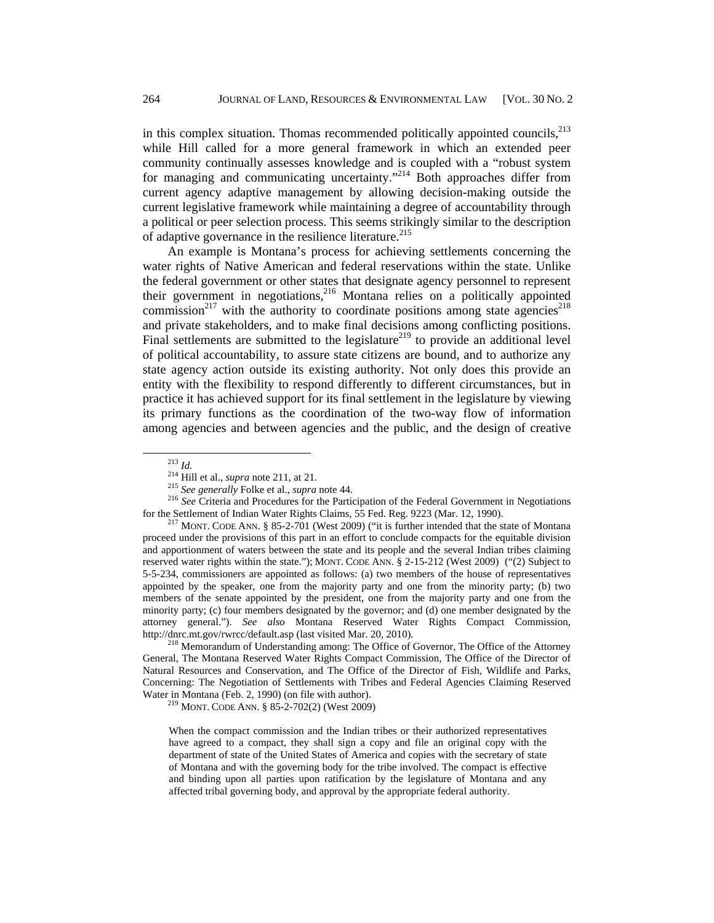in this complex situation. Thomas recommended politically appointed councils,  $^{213}$ while Hill called for a more general framework in which an extended peer community continually assesses knowledge and is coupled with a "robust system for managing and communicating uncertainty."<sup>214</sup> Both approaches differ from current agency adaptive management by allowing decision-making outside the current legislative framework while maintaining a degree of accountability through a political or peer selection process. This seems strikingly similar to the description of adaptive governance in the resilience literature.<sup>215</sup>

An example is Montana's process for achieving settlements concerning the water rights of Native American and federal reservations within the state. Unlike the federal government or other states that designate agency personnel to represent their government in negotiations,<sup>216</sup> Montana relies on a politically appointed commission<sup>217</sup> with the authority to coordinate positions among state agencies<sup>218</sup> and private stakeholders, and to make final decisions among conflicting positions. Final settlements are submitted to the legislature<sup>219</sup> to provide an additional level of political accountability, to assure state citizens are bound, and to authorize any state agency action outside its existing authority. Not only does this provide an entity with the flexibility to respond differently to different circumstances, but in practice it has achieved support for its final settlement in the legislature by viewing its primary functions as the coordination of the two-way flow of information among agencies and between agencies and the public, and the design of creative

<sup>&</sup>lt;sup>213</sup> *Id.*<br><sup>214</sup> Hill et al., *supra* note 211, at 21.<br><sup>215</sup> *See generally* Folke et al., *supra* note 44.<br><sup>216</sup> *See* Criteria and Procedures for the Participation of the Federal Government in Negotiations for the Settlement of Indian Water Rights Claims, 55 Fed. Reg. 9223 (Mar. 12, 1990).<br><sup>217</sup> MONT. CODE ANN. § 85-2-701 (West 2009) ("it is further intended that the state of Montana

proceed under the provisions of this part in an effort to conclude compacts for the equitable division and apportionment of waters between the state and its people and the several Indian tribes claiming reserved water rights within the state."); MONT. CODE ANN. § 2-15-212 (West 2009) ("(2) Subject to 5-5-234, commissioners are appointed as follows: (a) two members of the house of representatives appointed by the speaker, one from the majority party and one from the minority party; (b) two members of the senate appointed by the president, one from the majority party and one from the minority party; (c) four members designated by the governor; and (d) one member designated by the attorney general."). *See also* Montana Reserved Water Rights Compact Commission, http://dnrc.mt.gov/rwrcc/default.asp (last visited Mar. 20, 2010). 218 Memorandum of Understanding among: The Office of Governor, The Office of the Attorney

General, The Montana Reserved Water Rights Compact Commission, The Office of the Director of Natural Resources and Conservation, and The Office of the Director of Fish, Wildlife and Parks, Concerning: The Negotiation of Settlements with Tribes and Federal Agencies Claiming Reserved Water in Montana (Feb. 2, 1990) (on file with author).<br><sup>219</sup> MONT. CODE ANN. § 85-2-702(2) (West 2009)

When the compact commission and the Indian tribes or their authorized representatives have agreed to a compact, they shall sign a copy and file an original copy with the department of state of the United States of America and copies with the secretary of state of Montana and with the governing body for the tribe involved. The compact is effective and binding upon all parties upon ratification by the legislature of Montana and any affected tribal governing body, and approval by the appropriate federal authority.